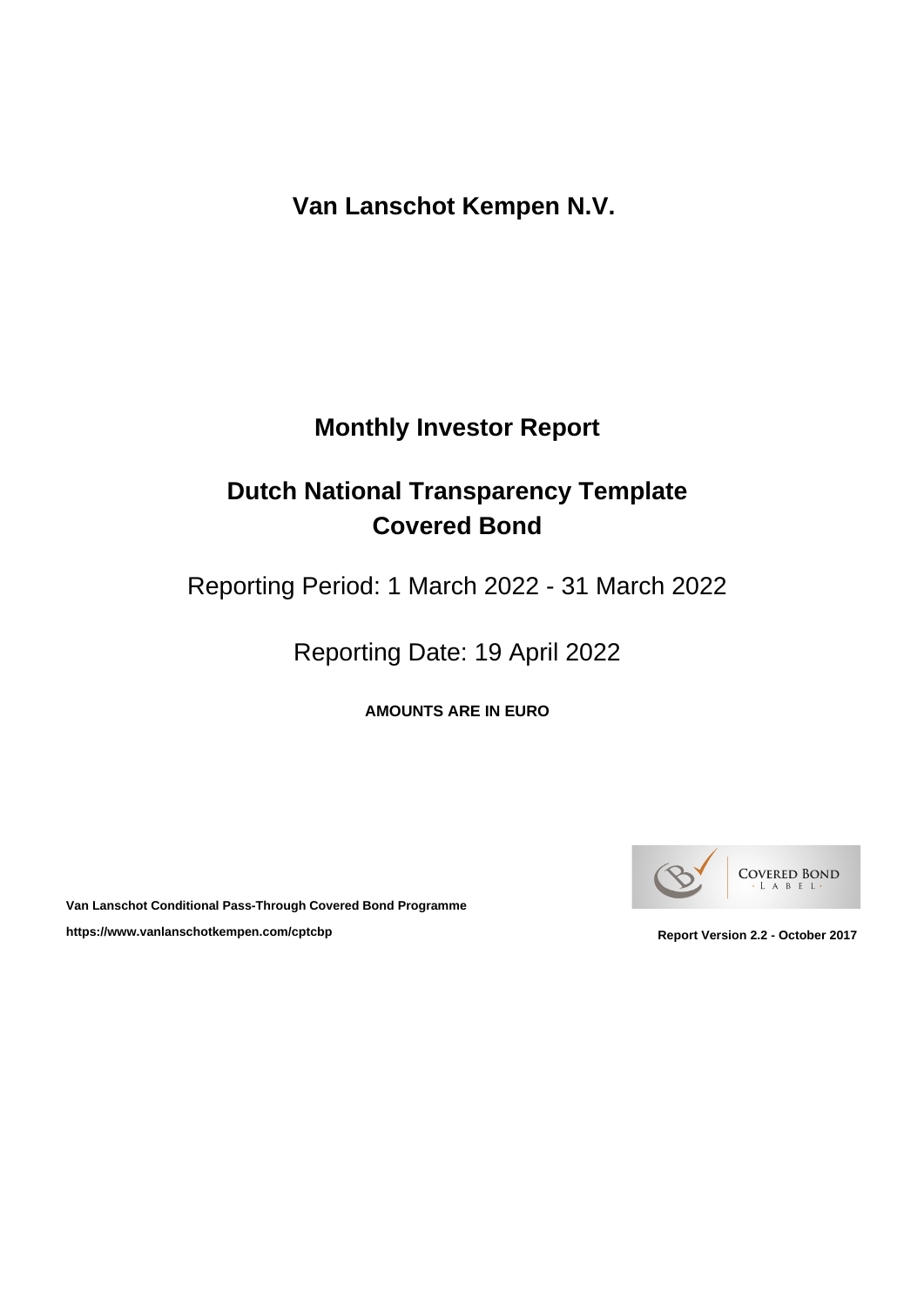**Van Lanschot Kempen N.V.** 

# **Monthly Investor Report**

# **Dutch National Transparency Template Covered Bond**

Reporting Period: 1 March 2022 - 31 March 2022

Reporting Date: 19 April 2022

**AMOUNTS ARE IN EURO**



**Van Lanschot Conditional Pass-Through Covered Bond Programme** https://www.vanlanschotkempen.com/cptcbp<br>
Report Version 2.2 - October 2017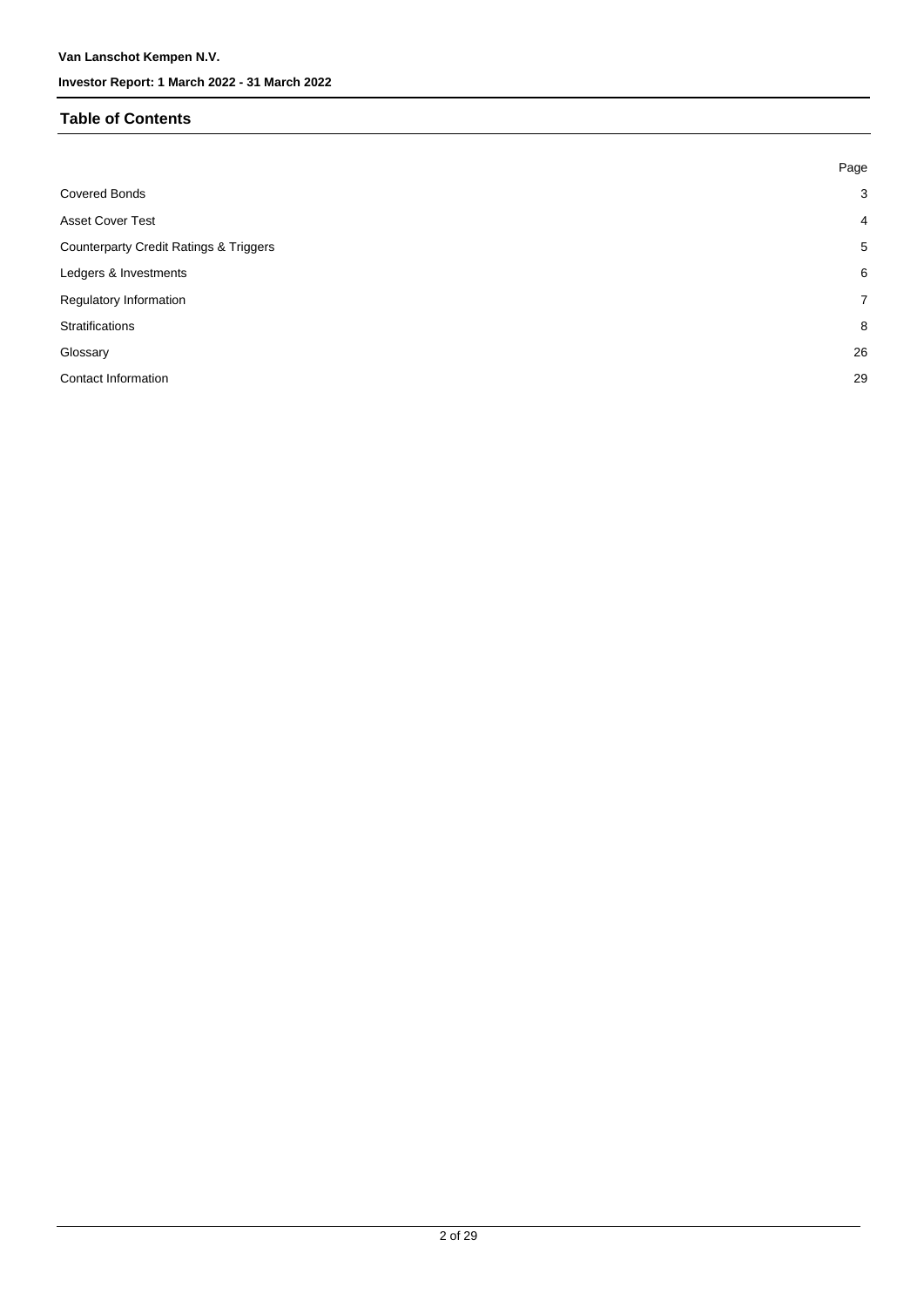## **Table of Contents**

|                                                   | Page           |
|---------------------------------------------------|----------------|
| <b>Covered Bonds</b>                              | $\mathbf{3}$   |
| <b>Asset Cover Test</b>                           | $\overline{4}$ |
| <b>Counterparty Credit Ratings &amp; Triggers</b> | 5              |
| Ledgers & Investments                             | 6              |
| Regulatory Information                            | $\overline{7}$ |
| <b>Stratifications</b>                            | 8              |
| Glossary                                          | 26             |
| Contact Information                               | 29             |
|                                                   |                |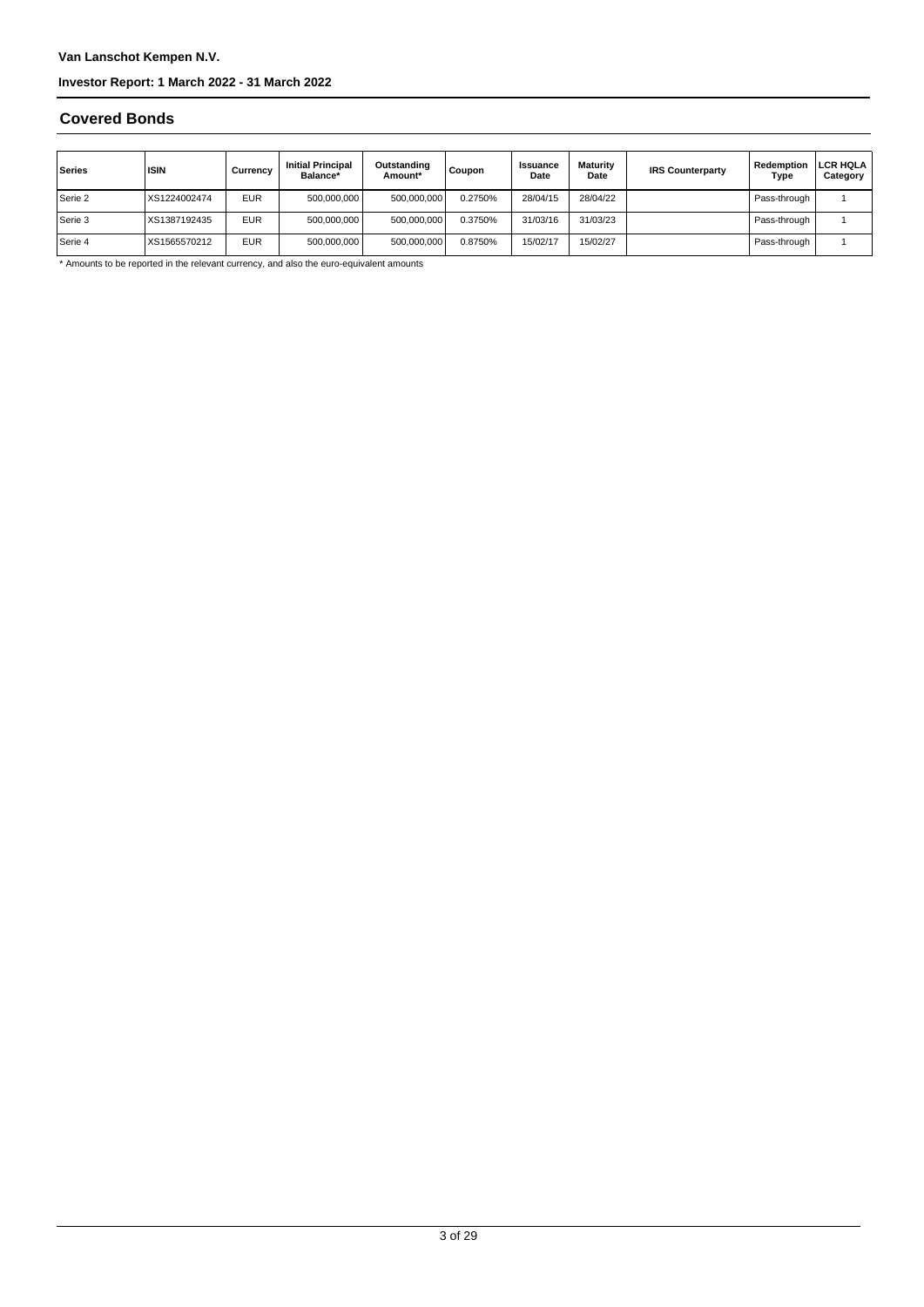#### **Covered Bonds**

| Series    | <b>ISIN</b>  | Currencv   | <b>Initial Principal</b><br>Balance* | Outstanding<br>Amount* | Coupon  | <b>Issuance</b><br>Date | Maturity<br>Date | <b>IRS Counterparty</b> | Redemption<br>Type | <b>LCR HQLA</b><br>Category |
|-----------|--------------|------------|--------------------------------------|------------------------|---------|-------------------------|------------------|-------------------------|--------------------|-----------------------------|
| Serie 2   | XS1224002474 | <b>EUR</b> | 500,000,000                          | 500,000,000            | 0.2750% | 28/04/15                | 28/04/22         |                         | Pass-through       |                             |
| l Serie 3 | XS1387192435 | <b>EUR</b> | 500,000,000                          | 500,000,000            | 0.3750% | 31/03/16                | 31/03/23         |                         | Pass-through       |                             |
| Serie 4   | XS1565570212 | <b>EUR</b> | 500,000,000                          | 500,000,000            | 0.8750% | 15/02/17                | 15/02/27         |                         | Pass-through       |                             |

\* Amounts to be reported in the relevant currency, and also the euro-equivalent amounts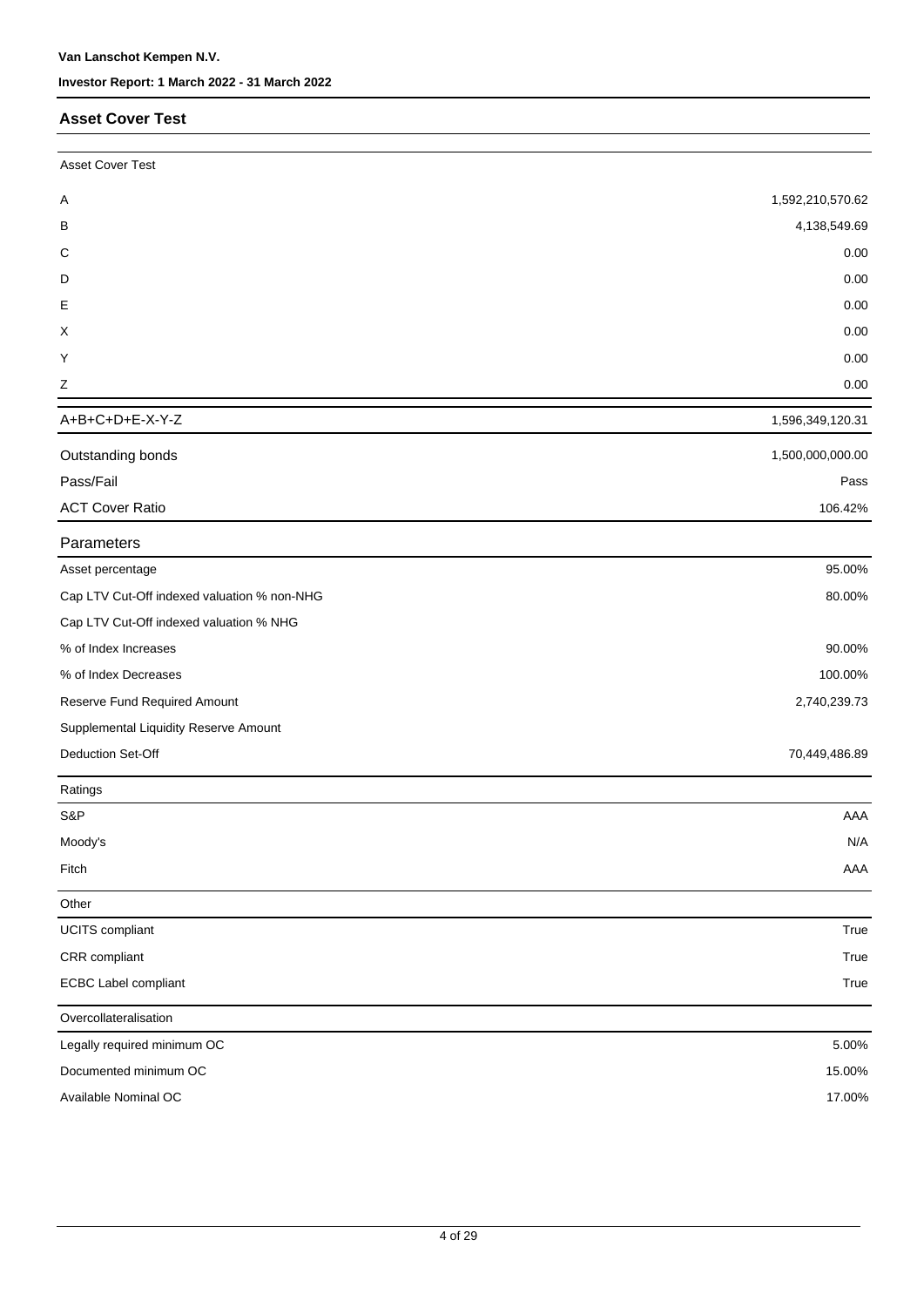### **Asset Cover Test**

| <b>Asset Cover Test</b>                     |                  |
|---------------------------------------------|------------------|
| Α                                           | 1,592,210,570.62 |
| B                                           | 4,138,549.69     |
| C                                           | 0.00             |
| D                                           | 0.00             |
| Ε                                           | 0.00             |
| X                                           | 0.00             |
| Y                                           | 0.00             |
| $\mathsf Z$                                 | 0.00             |
| A+B+C+D+E-X-Y-Z                             | 1,596,349,120.31 |
| Outstanding bonds                           | 1,500,000,000.00 |
| Pass/Fail                                   | Pass             |
| <b>ACT Cover Ratio</b>                      | 106.42%          |
| Parameters                                  |                  |
| Asset percentage                            | 95.00%           |
| Cap LTV Cut-Off indexed valuation % non-NHG | 80.00%           |
| Cap LTV Cut-Off indexed valuation % NHG     |                  |
| % of Index Increases                        | 90.00%           |
| % of Index Decreases                        | 100.00%          |
| Reserve Fund Required Amount                | 2,740,239.73     |
| Supplemental Liquidity Reserve Amount       |                  |
| Deduction Set-Off                           | 70,449,486.89    |
| Ratings                                     |                  |
| S&P                                         | AAA              |
| Moody's                                     | N/A              |
| Fitch                                       | AAA              |
| Other                                       |                  |
| <b>UCITS</b> compliant                      | True             |
| CRR compliant                               | True             |
| <b>ECBC Label compliant</b>                 | True             |
| Overcollateralisation                       |                  |
| Legally required minimum OC                 | 5.00%            |
| Documented minimum OC                       | 15.00%           |
| Available Nominal OC                        | 17.00%           |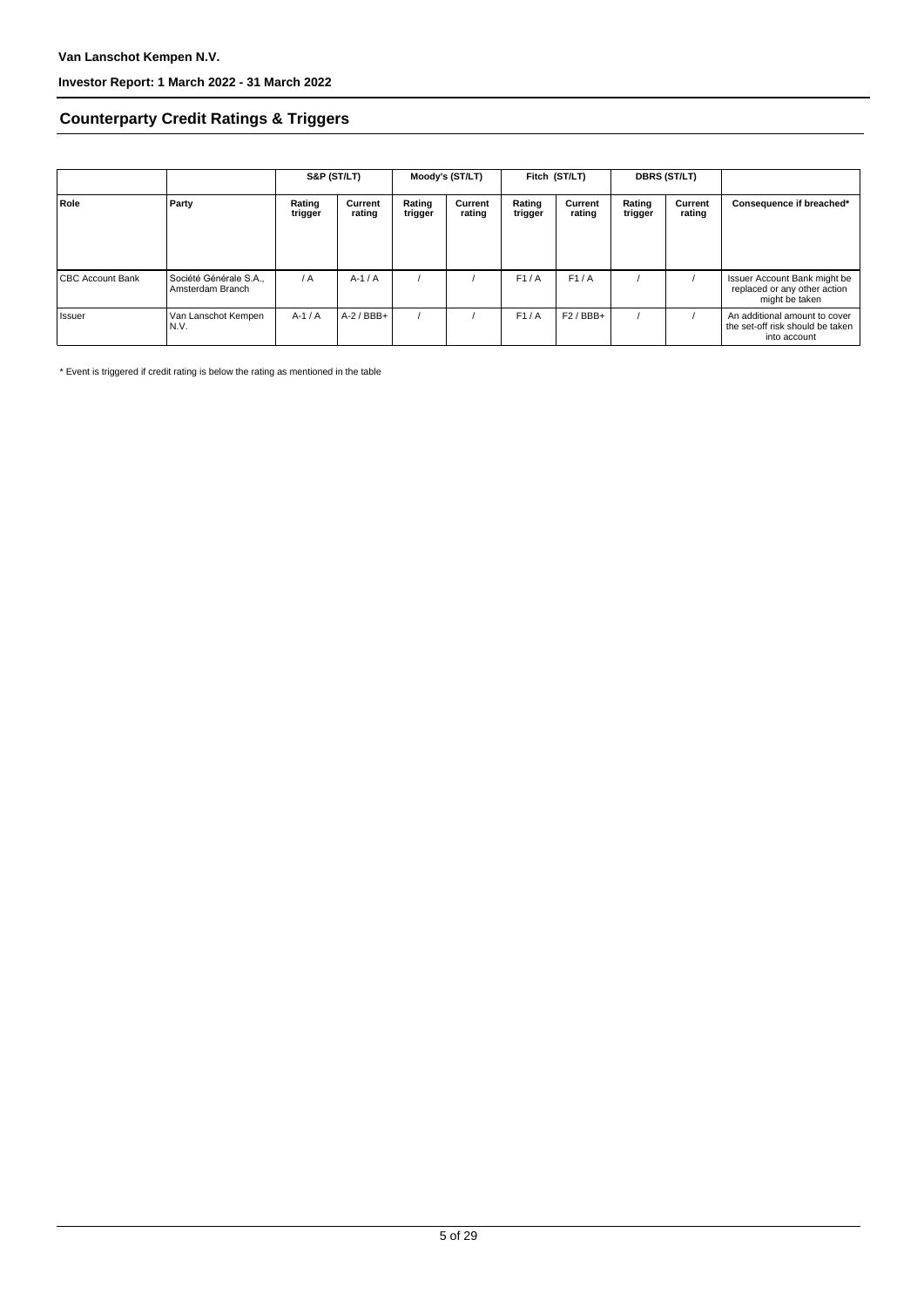## **Counterparty Credit Ratings & Triggers**

|                         |                                            | S&P (ST/LT)       |                   | Moody's (ST/LT)   |                   | Fitch (ST/LT)     |                   | DBRS (ST/LT)      |                   |                                                                                   |  |
|-------------------------|--------------------------------------------|-------------------|-------------------|-------------------|-------------------|-------------------|-------------------|-------------------|-------------------|-----------------------------------------------------------------------------------|--|
| Role                    | Party                                      | Rating<br>trigger | Current<br>rating | Rating<br>trigger | Current<br>rating | Rating<br>trigger | Current<br>rating | Rating<br>trigger | Current<br>rating | Consequence if breached*                                                          |  |
| <b>CBC Account Bank</b> | Société Générale S.A.,<br>Amsterdam Branch | $\overline{A}$    | $A-1/A$           |                   |                   | F1/A              | F1/A              |                   |                   | Issuer Account Bank might be<br>replaced or any other action<br>might be taken    |  |
| l Issuer                | Van Lanschot Kempen<br>N.V.                | $A-1/A$           | $A-2$ / BBB+      |                   |                   | F1/A              | $F2$ / BBB+       |                   |                   | An additional amount to cover<br>the set-off risk should be taken<br>into account |  |

\* Event is triggered if credit rating is below the rating as mentioned in the table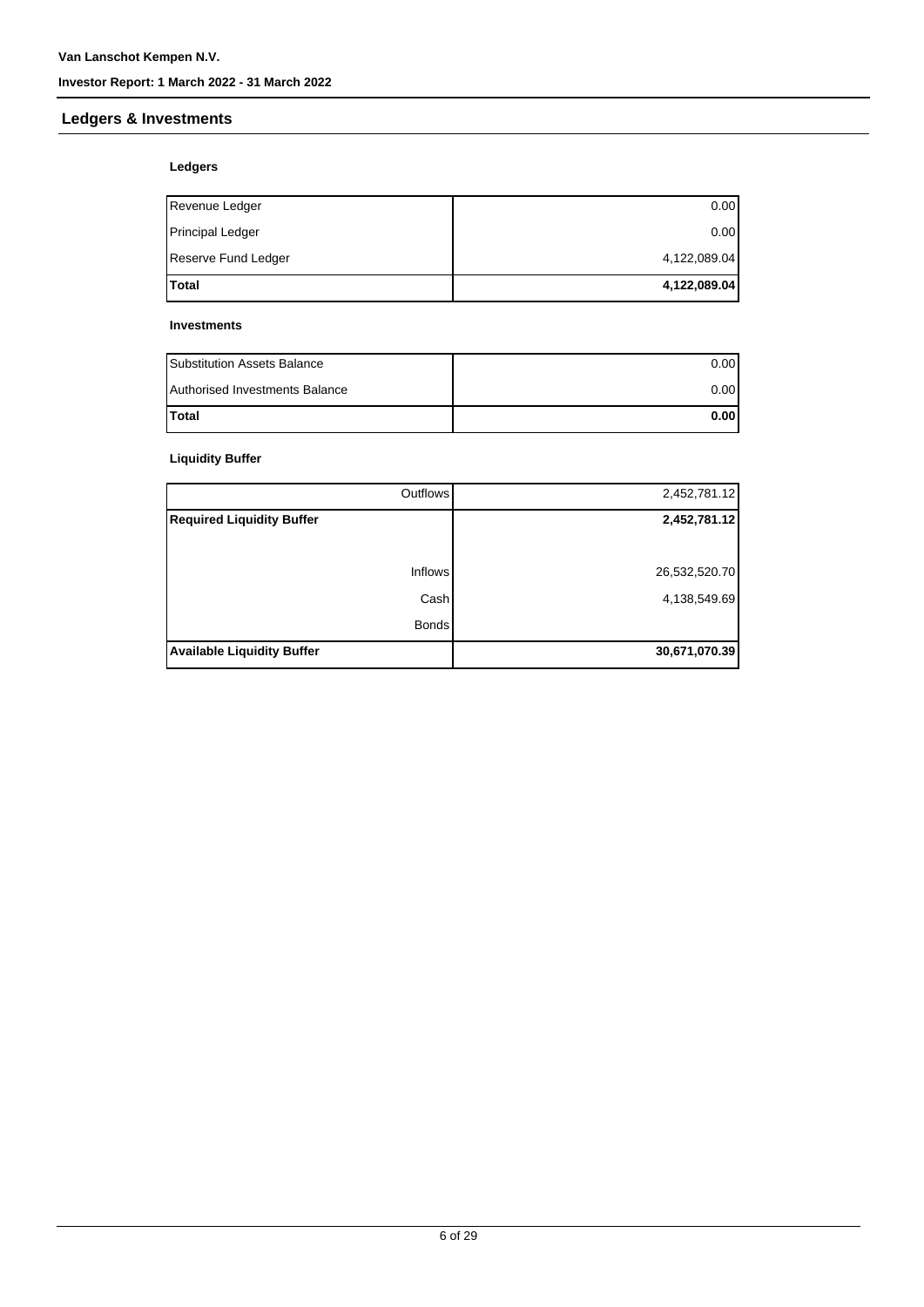## **Ledgers & Investments**

## **Ledgers**

| <b>Total</b>            | 4,122,089.04 |
|-------------------------|--------------|
| Reserve Fund Ledger     | 4,122,089.04 |
| <b>Principal Ledger</b> | 0.00         |
| Revenue Ledger          | 0.00         |

#### **Investments**

| <b>Substitution Assets Balance</b> | 0.001 |
|------------------------------------|-------|
| Authorised Investments Balance     | 0.001 |
| <b>Total</b>                       | 0.001 |

## **Liquidity Buffer**

| Outflows                          | 2,452,781.12  |
|-----------------------------------|---------------|
| <b>Required Liquidity Buffer</b>  | 2,452,781.12  |
|                                   |               |
| Inflows                           | 26,532,520.70 |
| Cash                              | 4,138,549.69  |
| <b>Bonds</b>                      |               |
| <b>Available Liquidity Buffer</b> | 30,671,070.39 |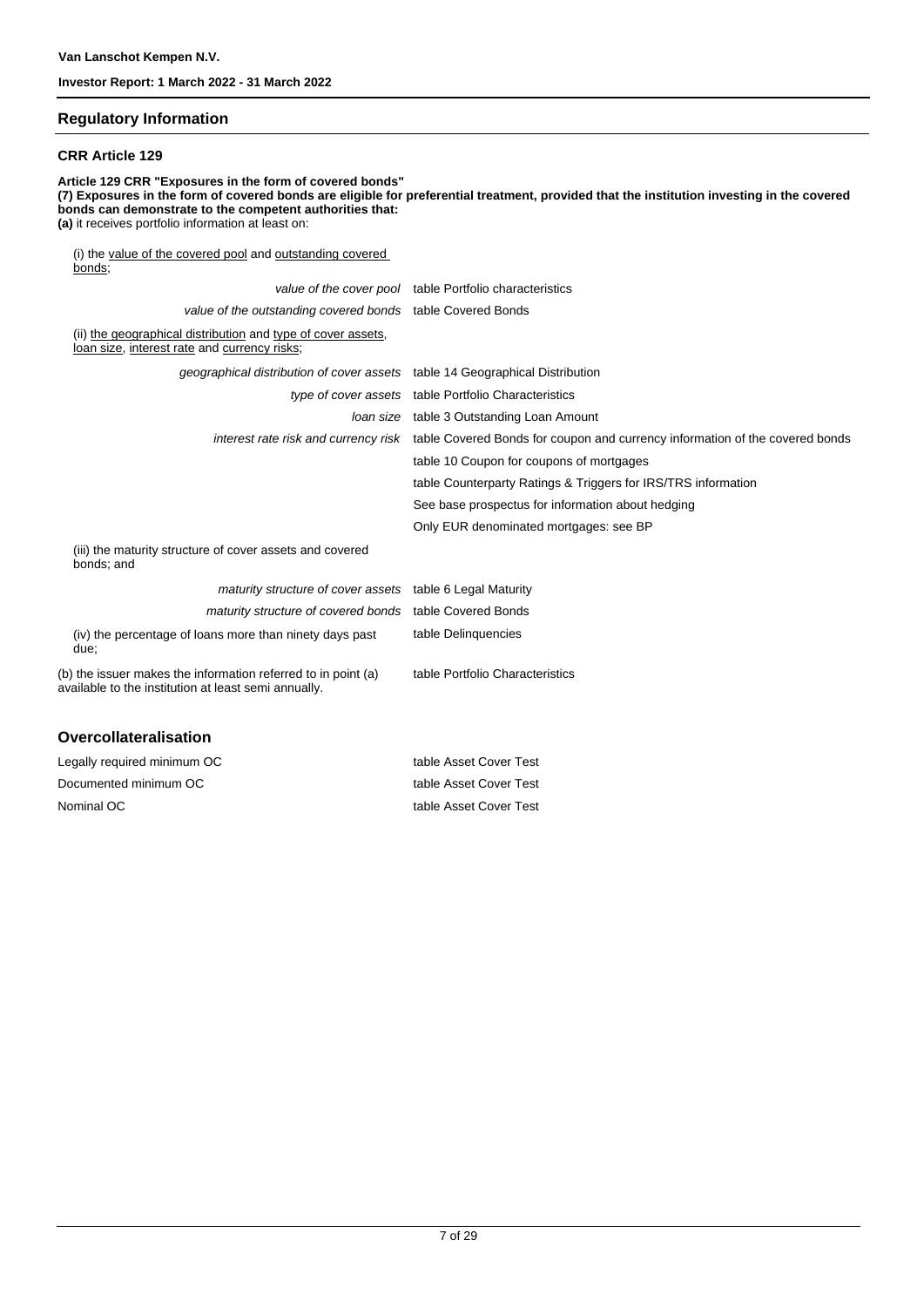### **Regulatory Information**

#### **CRR Article 129**

**Article 129 CRR "Exposures in the form of covered bonds" (7) Exposures in the form of covered bonds are eligible for preferential treatment, provided that the institution investing in the covered bonds can demonstrate to the competent authorities that: (a)** it receives portfolio information at least on: (i) the value of the covered pool and outstanding covered bonds; value of the cover pool table Portfolio characteristics value of the outstanding covered bonds table Covered Bonds

(ii) the geographical distribution and type of cover assets,

| <u>loan size, interest rate</u> and currency risks;                                                                   |                                                                                                                   |
|-----------------------------------------------------------------------------------------------------------------------|-------------------------------------------------------------------------------------------------------------------|
| geographical distribution of cover assets table 14 Geographical Distribution                                          |                                                                                                                   |
|                                                                                                                       | type of cover assets table Portfolio Characteristics                                                              |
| loan size                                                                                                             | table 3 Outstanding Loan Amount                                                                                   |
|                                                                                                                       | interest rate risk and currency risk table Covered Bonds for coupon and currency information of the covered bonds |
|                                                                                                                       | table 10 Coupon for coupons of mortgages                                                                          |
|                                                                                                                       | table Counterparty Ratings & Triggers for IRS/TRS information                                                     |
|                                                                                                                       | See base prospectus for information about hedging                                                                 |
|                                                                                                                       | Only EUR denominated mortgages: see BP                                                                            |
| (iii) the maturity structure of cover assets and covered<br>bonds; and                                                |                                                                                                                   |
| maturity structure of cover assets table 6 Legal Maturity                                                             |                                                                                                                   |
| maturity structure of covered bonds table Covered Bonds                                                               |                                                                                                                   |
| (iv) the percentage of loans more than ninety days past<br>due;                                                       | table Delinquencies                                                                                               |
| (b) the issuer makes the information referred to in point (a)<br>available to the institution at least semi annually. | table Portfolio Characteristics                                                                                   |
|                                                                                                                       |                                                                                                                   |

#### **Overcollateralisation**

| Legally required minimum OC | table Asset Cover Test |
|-----------------------------|------------------------|
| Documented minimum OC       | table Asset Cover Test |
| Nominal OC                  | table Asset Cover Test |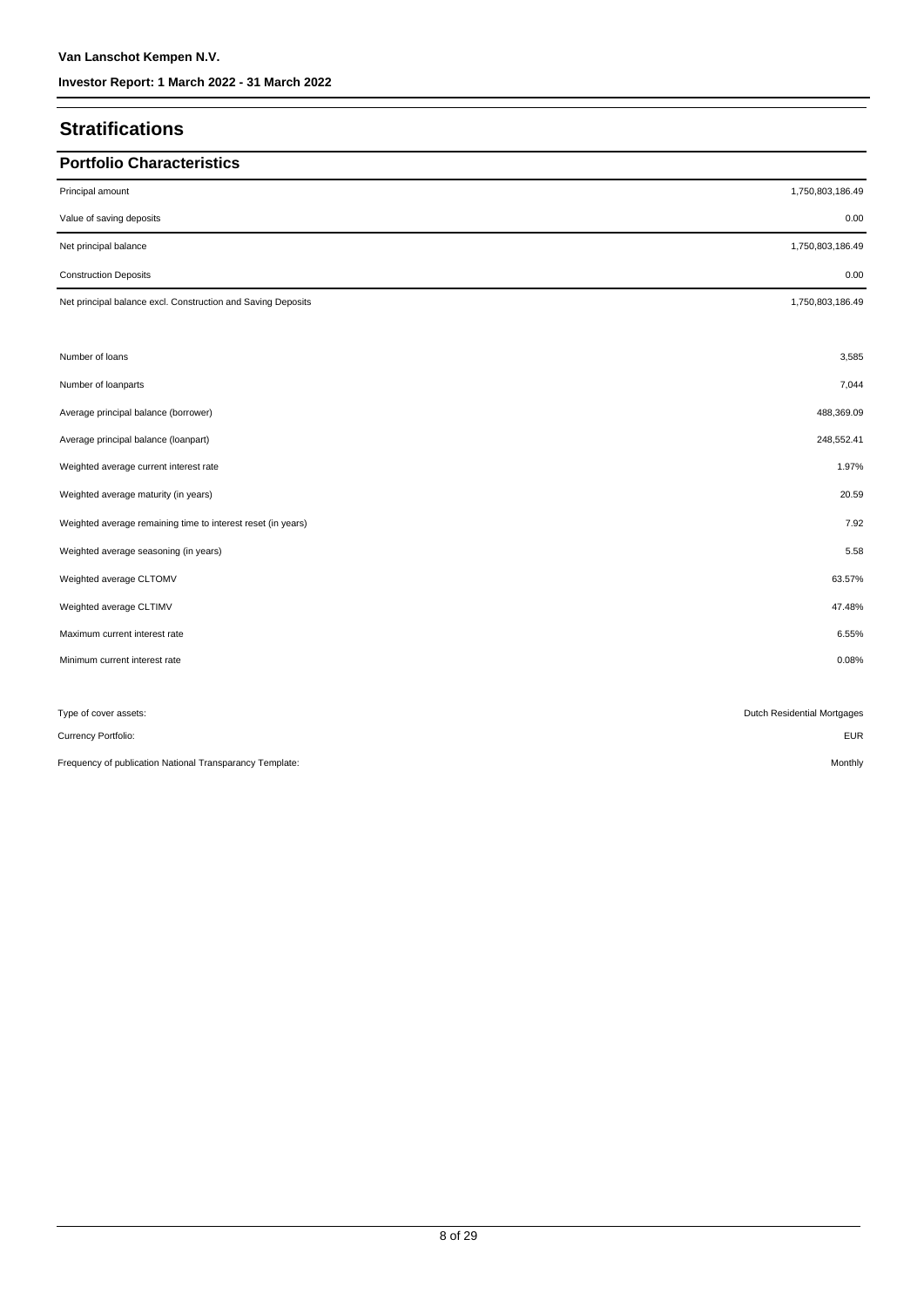## **Stratifications**

| <b>Portfolio Characteristics</b>                             |                             |
|--------------------------------------------------------------|-----------------------------|
| Principal amount                                             | 1,750,803,186.49            |
| Value of saving deposits                                     | 0.00                        |
| Net principal balance                                        | 1,750,803,186.49            |
| <b>Construction Deposits</b>                                 | 0.00                        |
| Net principal balance excl. Construction and Saving Deposits | 1,750,803,186.49            |
|                                                              |                             |
| Number of loans                                              | 3,585                       |
| Number of loanparts                                          | 7,044                       |
| Average principal balance (borrower)                         | 488,369.09                  |
| Average principal balance (loanpart)                         | 248,552.41                  |
| Weighted average current interest rate                       | 1.97%                       |
| Weighted average maturity (in years)                         | 20.59                       |
| Weighted average remaining time to interest reset (in years) | 7.92                        |
| Weighted average seasoning (in years)                        | 5.58                        |
| Weighted average CLTOMV                                      | 63.57%                      |
| Weighted average CLTIMV                                      | 47.48%                      |
| Maximum current interest rate                                | 6.55%                       |
| Minimum current interest rate                                | 0.08%                       |
|                                                              |                             |
| Type of cover assets:                                        | Dutch Residential Mortgages |
| Currency Portfolio:                                          | <b>EUR</b>                  |
| Frequency of publication National Transparancy Template:     | Monthly                     |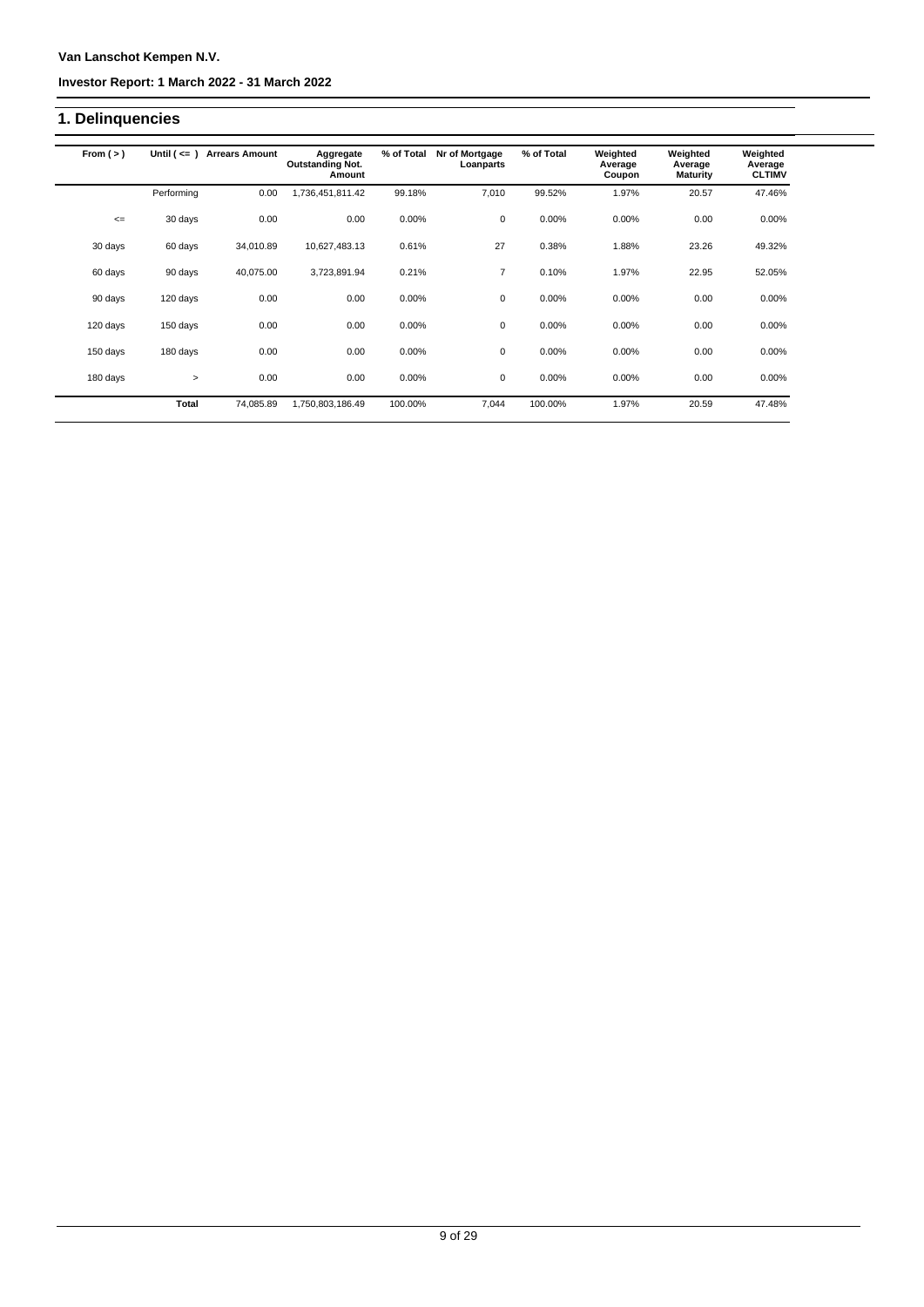### **Van Lanschot Kempen N.V.**

#### **Investor Report: 1 March 2022 - 31 March 2022**

# **1. Delinquencies**

| From $(>)$ | Until $($ <= $)$ | <b>Arrears Amount</b> | Aggregate<br><b>Outstanding Not.</b><br>Amount | % of Total | Nr of Mortgage<br>Loanparts | % of Total | Weighted<br>Average<br>Coupon | Weighted<br>Average<br><b>Maturity</b> | Weighted<br>Average<br><b>CLTIMV</b> |
|------------|------------------|-----------------------|------------------------------------------------|------------|-----------------------------|------------|-------------------------------|----------------------------------------|--------------------------------------|
|            | Performing       | 0.00                  | 1,736,451,811.42                               | 99.18%     | 7,010                       | 99.52%     | 1.97%                         | 20.57                                  | 47.46%                               |
| $\leq$     | 30 days          | 0.00                  | 0.00                                           | 0.00%      | 0                           | 0.00%      | 0.00%                         | 0.00                                   | 0.00%                                |
| 30 days    | 60 days          | 34,010.89             | 10,627,483.13                                  | 0.61%      | 27                          | 0.38%      | 1.88%                         | 23.26                                  | 49.32%                               |
| 60 days    | 90 days          | 40,075.00             | 3,723,891.94                                   | 0.21%      | $\overline{7}$              | 0.10%      | 1.97%                         | 22.95                                  | 52.05%                               |
| 90 days    | 120 days         | 0.00                  | 0.00                                           | 0.00%      | 0                           | 0.00%      | 0.00%                         | 0.00                                   | 0.00%                                |
| 120 days   | 150 days         | 0.00                  | 0.00                                           | 0.00%      | $\mathbf 0$                 | 0.00%      | 0.00%                         | 0.00                                   | 0.00%                                |
| 150 days   | 180 days         | 0.00                  | 0.00                                           | 0.00%      | 0                           | 0.00%      | 0.00%                         | 0.00                                   | 0.00%                                |
| 180 days   | $\geq$           | 0.00                  | 0.00                                           | 0.00%      | 0                           | 0.00%      | 0.00%                         | 0.00                                   | 0.00%                                |
|            | <b>Total</b>     | 74,085.89             | 1,750,803,186.49                               | 100.00%    | 7,044                       | 100.00%    | 1.97%                         | 20.59                                  | 47.48%                               |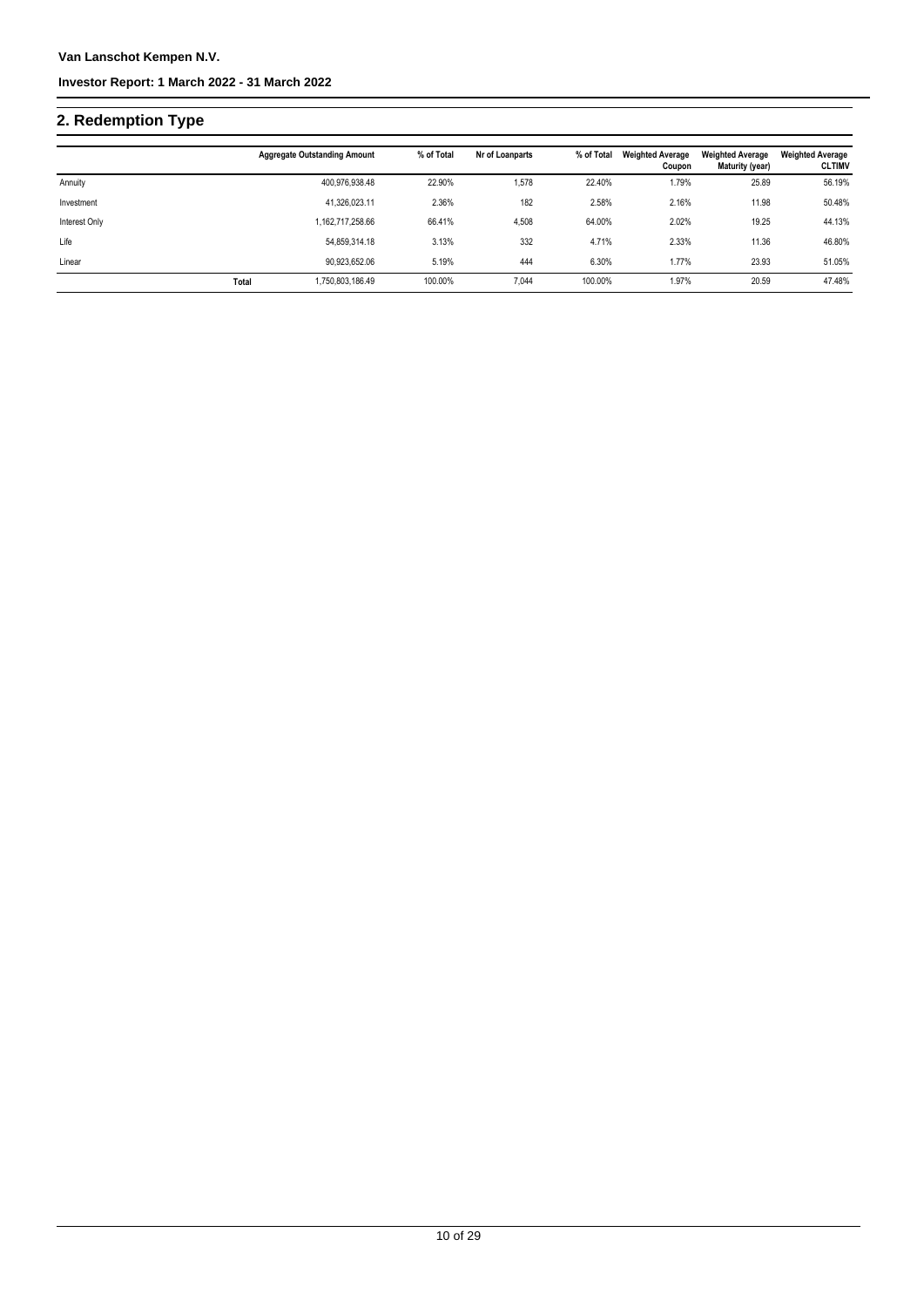# **2. Redemption Type**

|               |       | <b>Aggregate Outstanding Amount</b> | % of Total | Nr of Loanparts | % of Total | <b>Weighted Average</b><br>Coupon | <b>Weighted Average</b><br>Maturity (year) | <b>Weighted Average</b><br><b>CLTIMV</b> |
|---------------|-------|-------------------------------------|------------|-----------------|------------|-----------------------------------|--------------------------------------------|------------------------------------------|
| Annuity       |       | 400,976,938.48                      | 22.90%     | 1,578           | 22.40%     | 1.79%                             | 25.89                                      | 56.19%                                   |
| Investment    |       | 41.326.023.11                       | 2.36%      | 182             | 2.58%      | 2.16%                             | 11.98                                      | 50.48%                                   |
| Interest Only |       | 1,162,717,258.66                    | 66.41%     | 4,508           | 64.00%     | 2.02%                             | 19.25                                      | 44.13%                                   |
| Life          |       | 54,859,314.18                       | 3.13%      | 332             | 4.71%      | 2.33%                             | 11.36                                      | 46.80%                                   |
| Linear        |       | 90,923,652.06                       | 5.19%      | 444             | 6.30%      | 1.77%                             | 23.93                                      | 51.05%                                   |
|               | Total | 1,750,803,186.49                    | 100.00%    | 7.044           | 100.00%    | 1.97%                             | 20.59                                      | 47.48%                                   |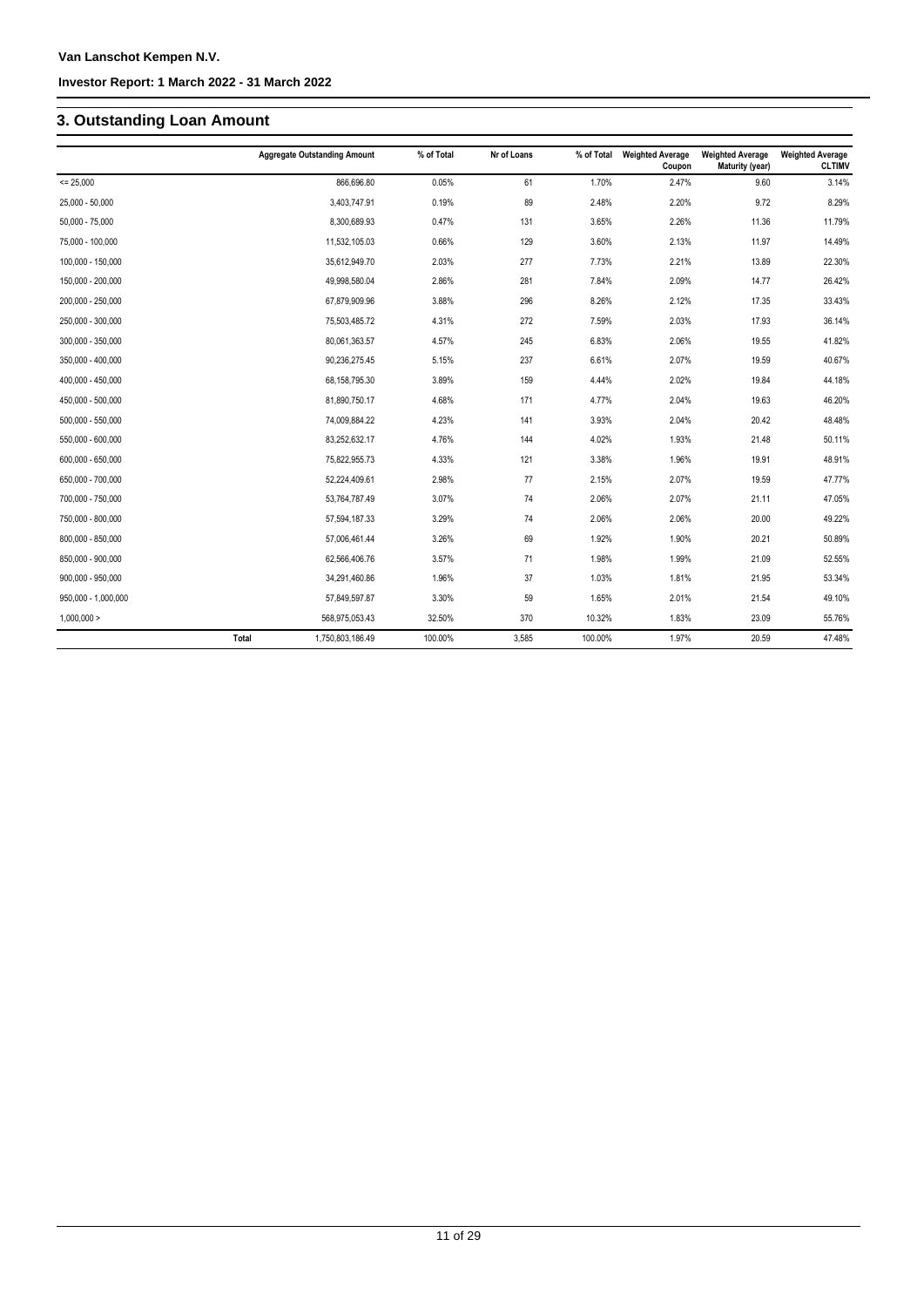# **3. Outstanding Loan Amount**

|                     | <b>Aggregate Outstanding Amount</b> | % of Total | Nr of Loans | % of Total | <b>Weighted Average</b><br>Coupon | <b>Weighted Average</b><br>Maturity (year) | <b>Weighted Average</b><br><b>CLTIMV</b> |
|---------------------|-------------------------------------|------------|-------------|------------|-----------------------------------|--------------------------------------------|------------------------------------------|
| $= 25,000$          | 866,696.80                          | 0.05%      | 61          | 1.70%      | 2.47%                             | 9.60                                       | 3.14%                                    |
| 25,000 - 50,000     | 3,403,747.91                        | 0.19%      | 89          | 2.48%      | 2.20%                             | 9.72                                       | 8.29%                                    |
| $50,000 - 75,000$   | 8,300,689.93                        | 0.47%      | 131         | 3.65%      | 2.26%                             | 11.36                                      | 11.79%                                   |
| 75,000 - 100,000    | 11,532,105.03                       | 0.66%      | 129         | 3.60%      | 2.13%                             | 11.97                                      | 14.49%                                   |
| 100,000 - 150,000   | 35,612,949.70                       | 2.03%      | 277         | 7.73%      | 2.21%                             | 13.89                                      | 22.30%                                   |
| 150,000 - 200,000   | 49,998,580.04                       | 2.86%      | 281         | 7.84%      | 2.09%                             | 14.77                                      | 26.42%                                   |
| 200,000 - 250,000   | 67,879,909.96                       | 3.88%      | 296         | 8.26%      | 2.12%                             | 17.35                                      | 33.43%                                   |
| 250,000 - 300,000   | 75,503,485.72                       | 4.31%      | 272         | 7.59%      | 2.03%                             | 17.93                                      | 36.14%                                   |
| 300,000 - 350,000   | 80,061,363.57                       | 4.57%      | 245         | 6.83%      | 2.06%                             | 19.55                                      | 41.82%                                   |
| 350,000 - 400,000   | 90,236,275.45                       | 5.15%      | 237         | 6.61%      | 2.07%                             | 19.59                                      | 40.67%                                   |
| 400,000 - 450,000   | 68,158,795.30                       | 3.89%      | 159         | 4.44%      | 2.02%                             | 19.84                                      | 44.18%                                   |
| 450,000 - 500,000   | 81,890,750.17                       | 4.68%      | 171         | 4.77%      | 2.04%                             | 19.63                                      | 46.20%                                   |
| $500,000 - 550,000$ | 74,009,884.22                       | 4.23%      | 141         | 3.93%      | 2.04%                             | 20.42                                      | 48.48%                                   |
| 550,000 - 600,000   | 83,252,632.17                       | 4.76%      | 144         | 4.02%      | 1.93%                             | 21.48                                      | 50.11%                                   |
| 600,000 - 650,000   | 75,822,955.73                       | 4.33%      | 121         | 3.38%      | 1.96%                             | 19.91                                      | 48.91%                                   |
| 650,000 - 700,000   | 52,224,409.61                       | 2.98%      | 77          | 2.15%      | 2.07%                             | 19.59                                      | 47.77%                                   |
| 700,000 - 750,000   | 53,764,787.49                       | 3.07%      | 74          | 2.06%      | 2.07%                             | 21.11                                      | 47.05%                                   |
| 750,000 - 800,000   | 57,594,187.33                       | 3.29%      | 74          | 2.06%      | 2.06%                             | 20.00                                      | 49.22%                                   |
| 800,000 - 850,000   | 57,006,461.44                       | 3.26%      | 69          | 1.92%      | 1.90%                             | 20.21                                      | 50.89%                                   |
| 850,000 - 900,000   | 62,566,406.76                       | 3.57%      | 71          | 1.98%      | 1.99%                             | 21.09                                      | 52.55%                                   |
| 900,000 - 950,000   | 34,291,460.86                       | 1.96%      | 37          | 1.03%      | 1.81%                             | 21.95                                      | 53.34%                                   |
| 950,000 - 1,000,000 | 57,849,597.87                       | 3.30%      | 59          | 1.65%      | 2.01%                             | 21.54                                      | 49.10%                                   |
| 1,000,000 >         | 568,975,053.43                      | 32.50%     | 370         | 10.32%     | 1.83%                             | 23.09                                      | 55.76%                                   |
|                     | Total<br>1,750,803,186.49           | 100.00%    | 3,585       | 100.00%    | 1.97%                             | 20.59                                      | 47.48%                                   |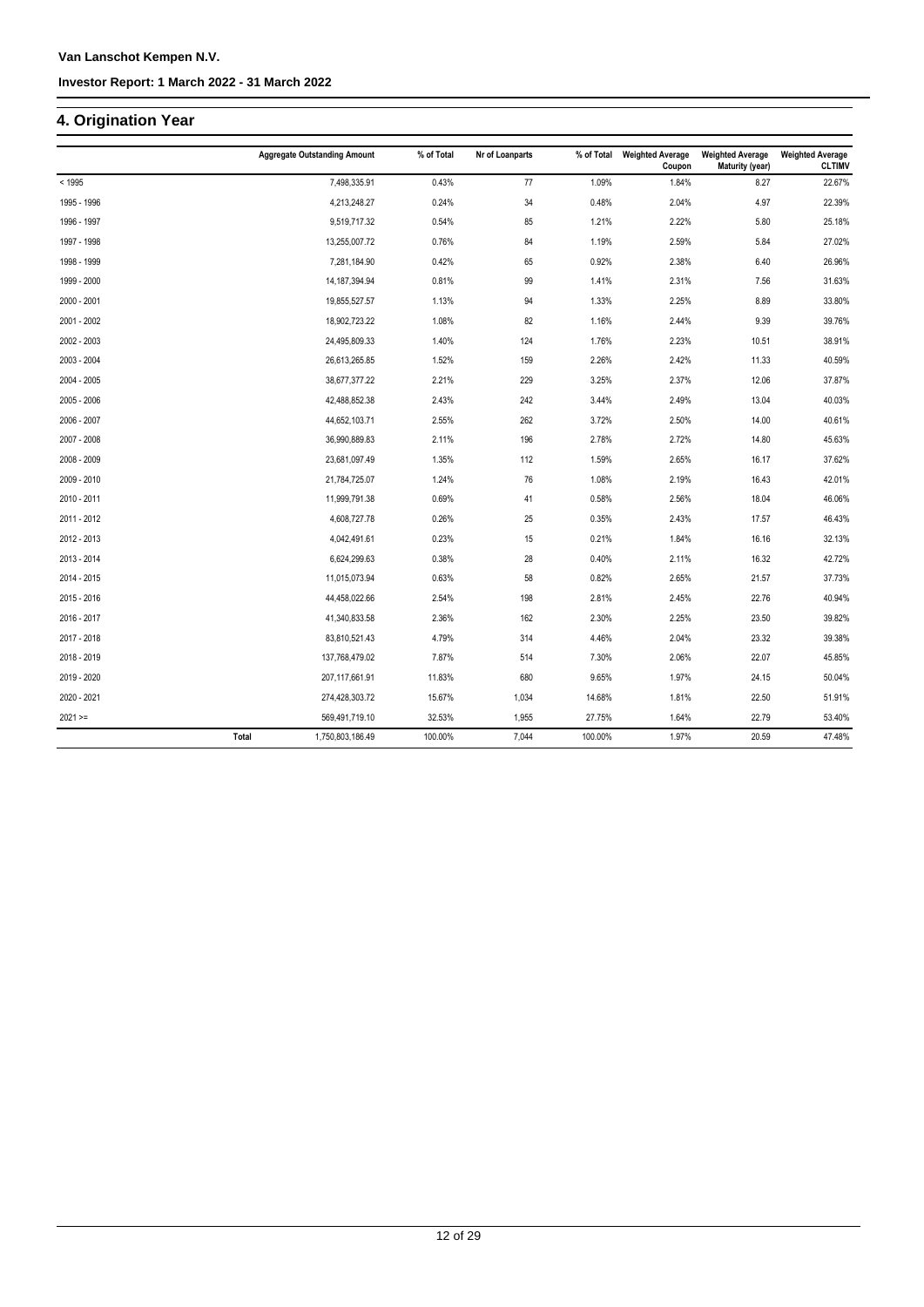## **4. Origination Year**

|             | <b>Aggregate Outstanding Amount</b> | % of Total | Nr of Loanparts | % of Total | <b>Weighted Average</b><br>Coupon | <b>Weighted Average</b><br><b>Maturity (year)</b> | <b>Weighted Average</b><br><b>CLTIMV</b> |
|-------------|-------------------------------------|------------|-----------------|------------|-----------------------------------|---------------------------------------------------|------------------------------------------|
| < 1995      | 7,498,335.91                        | 0.43%      | 77              | 1.09%      | 1.84%                             | 8.27                                              | 22.67%                                   |
| 1995 - 1996 | 4,213,248.27                        | 0.24%      | 34              | 0.48%      | 2.04%                             | 4.97                                              | 22.39%                                   |
| 1996 - 1997 | 9,519,717.32                        | 0.54%      | 85              | 1.21%      | 2.22%                             | 5.80                                              | 25.18%                                   |
| 1997 - 1998 | 13,255,007.72                       | 0.76%      | 84              | 1.19%      | 2.59%                             | 5.84                                              | 27.02%                                   |
| 1998 - 1999 | 7,281,184.90                        | 0.42%      | 65              | 0.92%      | 2.38%                             | 6.40                                              | 26.96%                                   |
| 1999 - 2000 | 14, 187, 394. 94                    | 0.81%      | 99              | 1.41%      | 2.31%                             | 7.56                                              | 31.63%                                   |
| 2000 - 2001 | 19,855,527.57                       | 1.13%      | 94              | 1.33%      | 2.25%                             | 8.89                                              | 33.80%                                   |
| 2001 - 2002 | 18,902,723.22                       | 1.08%      | 82              | 1.16%      | 2.44%                             | 9.39                                              | 39.76%                                   |
| 2002 - 2003 | 24,495,809.33                       | 1.40%      | 124             | 1.76%      | 2.23%                             | 10.51                                             | 38.91%                                   |
| 2003 - 2004 | 26,613,265.85                       | 1.52%      | 159             | 2.26%      | 2.42%                             | 11.33                                             | 40.59%                                   |
| 2004 - 2005 | 38,677,377.22                       | 2.21%      | 229             | 3.25%      | 2.37%                             | 12.06                                             | 37.87%                                   |
| 2005 - 2006 | 42,488,852.38                       | 2.43%      | 242             | 3.44%      | 2.49%                             | 13.04                                             | 40.03%                                   |
| 2006 - 2007 | 44,652,103.71                       | 2.55%      | 262             | 3.72%      | 2.50%                             | 14.00                                             | 40.61%                                   |
| 2007 - 2008 | 36,990,889.83                       | 2.11%      | 196             | 2.78%      | 2.72%                             | 14.80                                             | 45.63%                                   |
| 2008 - 2009 | 23,681,097.49                       | 1.35%      | 112             | 1.59%      | 2.65%                             | 16.17                                             | 37.62%                                   |
| 2009 - 2010 | 21,784,725.07                       | 1.24%      | 76              | 1.08%      | 2.19%                             | 16.43                                             | 42.01%                                   |
| 2010 - 2011 | 11,999,791.38                       | 0.69%      | 41              | 0.58%      | 2.56%                             | 18.04                                             | 46.06%                                   |
| 2011 - 2012 | 4,608,727.78                        | 0.26%      | 25              | 0.35%      | 2.43%                             | 17.57                                             | 46.43%                                   |
| 2012 - 2013 | 4,042,491.61                        | 0.23%      | 15              | 0.21%      | 1.84%                             | 16.16                                             | 32.13%                                   |
| 2013 - 2014 | 6,624,299.63                        | 0.38%      | 28              | 0.40%      | 2.11%                             | 16.32                                             | 42.72%                                   |
| 2014 - 2015 | 11,015,073.94                       | 0.63%      | 58              | 0.82%      | 2.65%                             | 21.57                                             | 37.73%                                   |
| 2015 - 2016 | 44,458,022.66                       | 2.54%      | 198             | 2.81%      | 2.45%                             | 22.76                                             | 40.94%                                   |
| 2016 - 2017 | 41,340,833.58                       | 2.36%      | 162             | 2.30%      | 2.25%                             | 23.50                                             | 39.82%                                   |
| 2017 - 2018 | 83,810,521.43                       | 4.79%      | 314             | 4.46%      | 2.04%                             | 23.32                                             | 39.38%                                   |
| 2018 - 2019 | 137,768,479.02                      | 7.87%      | 514             | 7.30%      | 2.06%                             | 22.07                                             | 45.85%                                   |
| 2019 - 2020 | 207,117,661.91                      | 11.83%     | 680             | 9.65%      | 1.97%                             | 24.15                                             | 50.04%                                   |
| 2020 - 2021 | 274,428,303.72                      | 15.67%     | 1,034           | 14.68%     | 1.81%                             | 22.50                                             | 51.91%                                   |
| $2021 ==$   | 569,491,719.10                      | 32.53%     | 1,955           | 27.75%     | 1.64%                             | 22.79                                             | 53.40%                                   |
|             | 1,750,803,186.49<br>Total           | 100.00%    | 7,044           | 100.00%    | 1.97%                             | 20.59                                             | 47.48%                                   |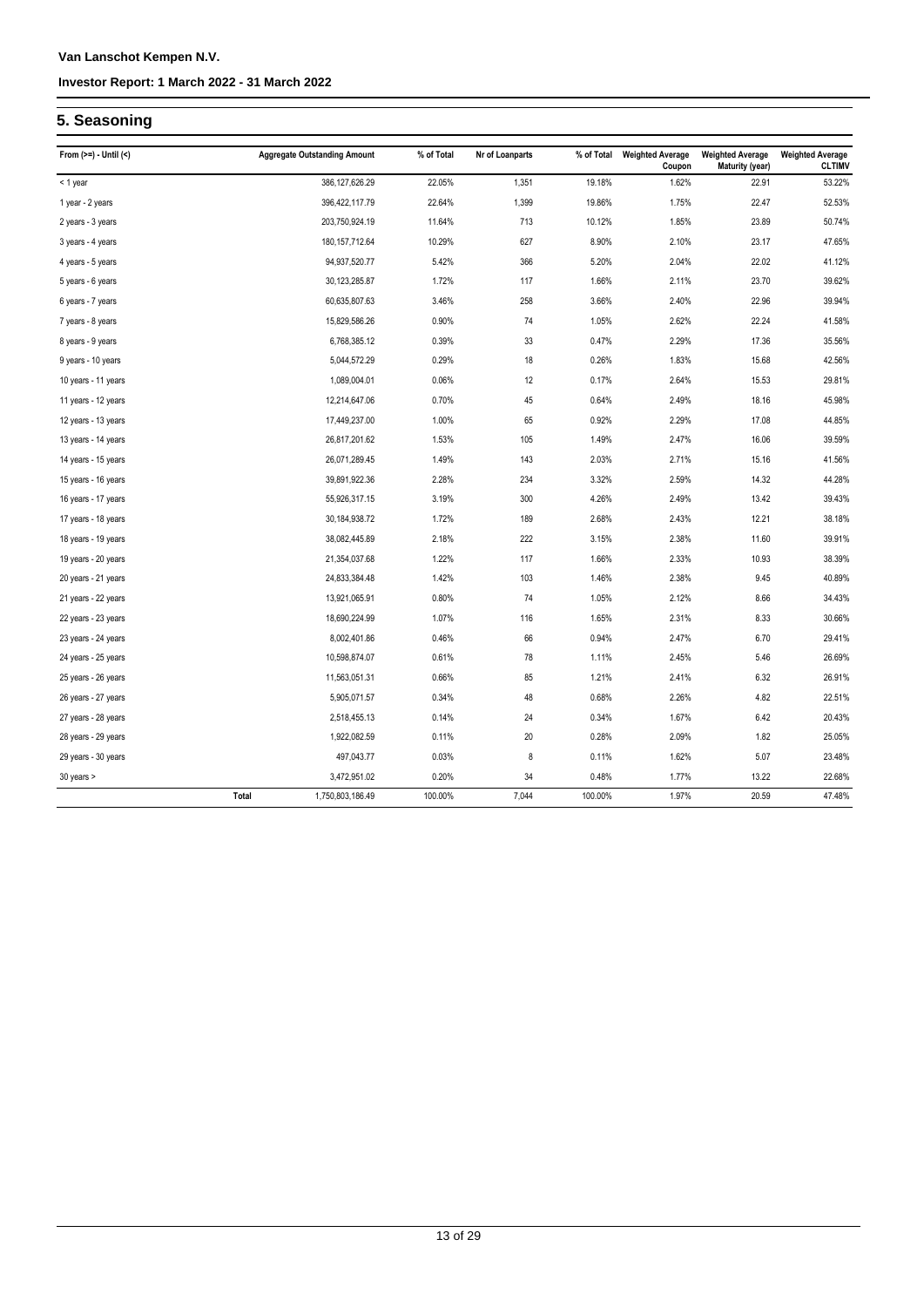# **5. Seasoning**

| From $(>=) -$ Until $($ | <b>Aggregate Outstanding Amount</b> | % of Total | Nr of Loanparts | % of Total | <b>Weighted Average</b><br>Coupon | <b>Weighted Average</b><br><b>Maturity (year)</b> | <b>Weighted Average</b><br><b>CLTIMV</b> |
|-------------------------|-------------------------------------|------------|-----------------|------------|-----------------------------------|---------------------------------------------------|------------------------------------------|
| < 1 year                | 386, 127, 626.29                    | 22.05%     | 1,351           | 19.18%     | 1.62%                             | 22.91                                             | 53.22%                                   |
| 1 year - 2 years        | 396,422,117.79                      | 22.64%     | 1,399           | 19.86%     | 1.75%                             | 22.47                                             | 52.53%                                   |
| 2 years - 3 years       | 203,750,924.19                      | 11.64%     | 713             | 10.12%     | 1.85%                             | 23.89                                             | 50.74%                                   |
| 3 years - 4 years       | 180, 157, 712.64                    | 10.29%     | 627             | 8.90%      | 2.10%                             | 23.17                                             | 47.65%                                   |
| 4 years - 5 years       | 94,937,520.77                       | 5.42%      | 366             | 5.20%      | 2.04%                             | 22.02                                             | 41.12%                                   |
| 5 years - 6 years       | 30,123,285.87                       | 1.72%      | 117             | 1.66%      | 2.11%                             | 23.70                                             | 39.62%                                   |
| 6 years - 7 years       | 60,635,807.63                       | 3.46%      | 258             | 3.66%      | 2.40%                             | 22.96                                             | 39.94%                                   |
| 7 years - 8 years       | 15,829,586.26                       | 0.90%      | 74              | 1.05%      | 2.62%                             | 22.24                                             | 41.58%                                   |
| 8 years - 9 years       | 6,768,385.12                        | 0.39%      | 33              | 0.47%      | 2.29%                             | 17.36                                             | 35.56%                                   |
| 9 years - 10 years      | 5,044,572.29                        | 0.29%      | 18              | 0.26%      | 1.83%                             | 15.68                                             | 42.56%                                   |
| 10 years - 11 years     | 1,089,004.01                        | 0.06%      | 12              | 0.17%      | 2.64%                             | 15.53                                             | 29.81%                                   |
| 11 years - 12 years     | 12,214,647.06                       | 0.70%      | 45              | 0.64%      | 2.49%                             | 18.16                                             | 45.98%                                   |
| 12 years - 13 years     | 17,449,237.00                       | 1.00%      | 65              | 0.92%      | 2.29%                             | 17.08                                             | 44.85%                                   |
| 13 years - 14 years     | 26,817,201.62                       | 1.53%      | 105             | 1.49%      | 2.47%                             | 16.06                                             | 39.59%                                   |
| 14 years - 15 years     | 26,071,289.45                       | 1.49%      | 143             | 2.03%      | 2.71%                             | 15.16                                             | 41.56%                                   |
| 15 years - 16 years     | 39,891,922.36                       | 2.28%      | 234             | 3.32%      | 2.59%                             | 14.32                                             | 44.28%                                   |
| 16 years - 17 years     | 55,926,317.15                       | 3.19%      | 300             | 4.26%      | 2.49%                             | 13.42                                             | 39.43%                                   |
| 17 years - 18 years     | 30,184,938.72                       | 1.72%      | 189             | 2.68%      | 2.43%                             | 12.21                                             | 38.18%                                   |
| 18 years - 19 years     | 38,082,445.89                       | 2.18%      | 222             | 3.15%      | 2.38%                             | 11.60                                             | 39.91%                                   |
| 19 years - 20 years     | 21,354,037.68                       | 1.22%      | 117             | 1.66%      | 2.33%                             | 10.93                                             | 38.39%                                   |
| 20 years - 21 years     | 24,833,384.48                       | 1.42%      | 103             | 1.46%      | 2.38%                             | 9.45                                              | 40.89%                                   |
| 21 years - 22 years     | 13,921,065.91                       | 0.80%      | 74              | 1.05%      | 2.12%                             | 8.66                                              | 34.43%                                   |
| 22 years - 23 years     | 18,690,224.99                       | 1.07%      | 116             | 1.65%      | 2.31%                             | 8.33                                              | 30.66%                                   |
| 23 years - 24 years     | 8,002,401.86                        | 0.46%      | 66              | 0.94%      | 2.47%                             | 6.70                                              | 29.41%                                   |
| 24 years - 25 years     | 10,598,874.07                       | 0.61%      | 78              | 1.11%      | 2.45%                             | 5.46                                              | 26.69%                                   |
| 25 years - 26 years     | 11,563,051.31                       | 0.66%      | 85              | 1.21%      | 2.41%                             | 6.32                                              | 26.91%                                   |
| 26 years - 27 years     | 5,905,071.57                        | 0.34%      | 48              | 0.68%      | 2.26%                             | 4.82                                              | 22.51%                                   |
| 27 years - 28 years     | 2,518,455.13                        | 0.14%      | 24              | 0.34%      | 1.67%                             | 6.42                                              | 20.43%                                   |
| 28 years - 29 years     | 1,922,082.59                        | 0.11%      | 20              | 0.28%      | 2.09%                             | 1.82                                              | 25.05%                                   |
| 29 years - 30 years     | 497,043.77                          | 0.03%      | $\bf 8$         | 0.11%      | 1.62%                             | 5.07                                              | 23.48%                                   |
| 30 years >              | 3,472,951.02                        | 0.20%      | 34              | 0.48%      | 1.77%                             | 13.22                                             | 22.68%                                   |
|                         | Total<br>1,750,803,186.49           | 100.00%    | 7,044           | 100.00%    | 1.97%                             | 20.59                                             | 47.48%                                   |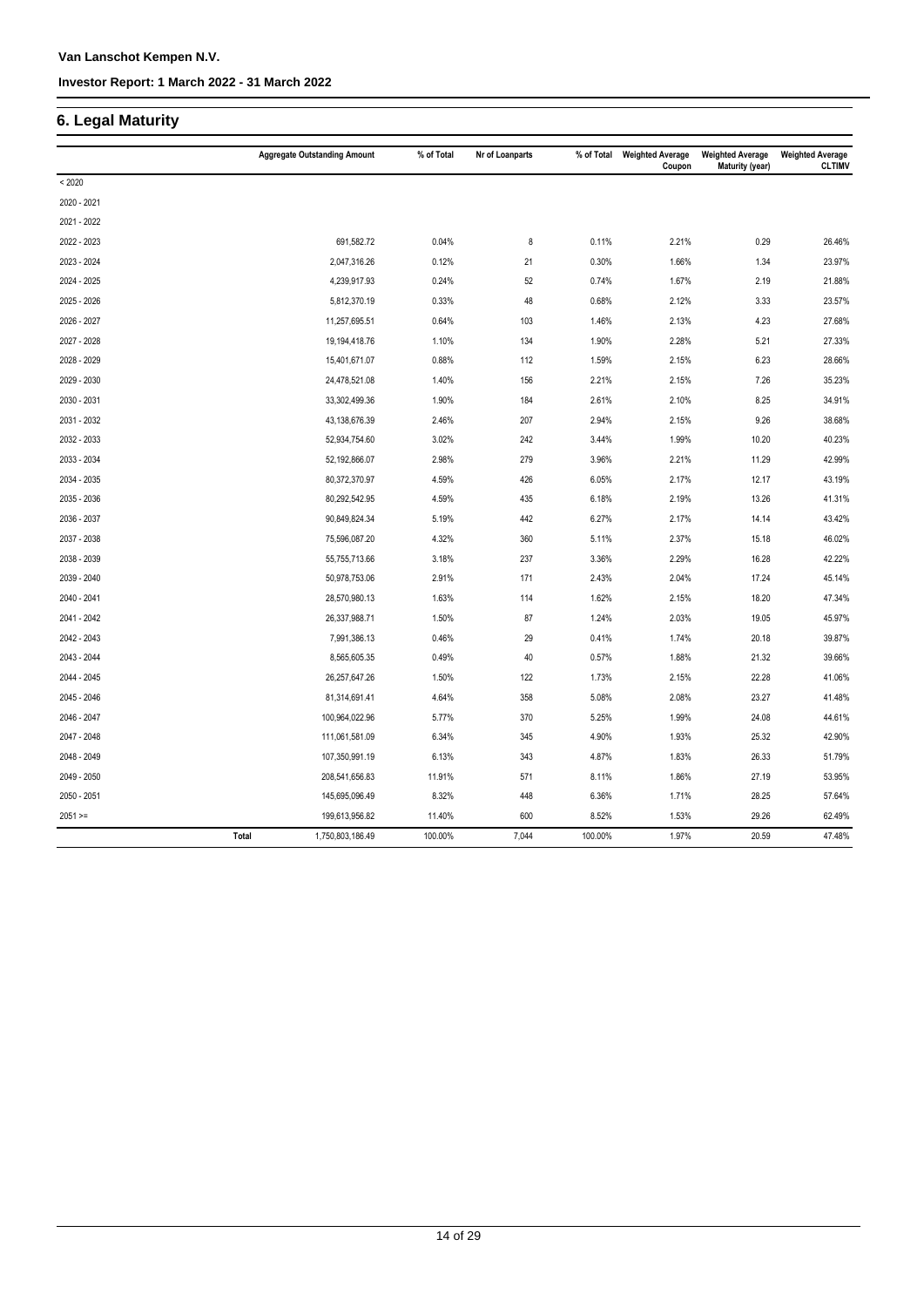# **6. Legal Maturity**

|             |       | <b>Aggregate Outstanding Amount</b> | % of Total | Nr of Loanparts | % of Total | <b>Weighted Average</b><br>Coupon | <b>Weighted Average</b><br>Maturity (year) | <b>Weighted Average</b><br><b>CLTIMV</b> |
|-------------|-------|-------------------------------------|------------|-----------------|------------|-----------------------------------|--------------------------------------------|------------------------------------------|
| < 2020      |       |                                     |            |                 |            |                                   |                                            |                                          |
| 2020 - 2021 |       |                                     |            |                 |            |                                   |                                            |                                          |
| 2021 - 2022 |       |                                     |            |                 |            |                                   |                                            |                                          |
| 2022 - 2023 |       | 691,582.72                          | 0.04%      | 8               | 0.11%      | 2.21%                             | 0.29                                       | 26.46%                                   |
| 2023 - 2024 |       | 2,047,316.26                        | 0.12%      | 21              | 0.30%      | 1.66%                             | 1.34                                       | 23.97%                                   |
| 2024 - 2025 |       | 4,239,917.93                        | 0.24%      | 52              | 0.74%      | 1.67%                             | 2.19                                       | 21.88%                                   |
| 2025 - 2026 |       | 5,812,370.19                        | 0.33%      | 48              | 0.68%      | 2.12%                             | 3.33                                       | 23.57%                                   |
| 2026 - 2027 |       | 11,257,695.51                       | 0.64%      | 103             | 1.46%      | 2.13%                             | 4.23                                       | 27.68%                                   |
| 2027 - 2028 |       | 19,194,418.76                       | 1.10%      | 134             | 1.90%      | 2.28%                             | 5.21                                       | 27.33%                                   |
| 2028 - 2029 |       | 15,401,671.07                       | 0.88%      | 112             | 1.59%      | 2.15%                             | 6.23                                       | 28.66%                                   |
| 2029 - 2030 |       | 24,478,521.08                       | 1.40%      | 156             | 2.21%      | 2.15%                             | 7.26                                       | 35.23%                                   |
| 2030 - 2031 |       | 33,302,499.36                       | 1.90%      | 184             | 2.61%      | 2.10%                             | 8.25                                       | 34.91%                                   |
| 2031 - 2032 |       | 43,138,676.39                       | 2.46%      | 207             | 2.94%      | 2.15%                             | 9.26                                       | 38.68%                                   |
| 2032 - 2033 |       | 52,934,754.60                       | 3.02%      | 242             | 3.44%      | 1.99%                             | 10.20                                      | 40.23%                                   |
| 2033 - 2034 |       | 52,192,866.07                       | 2.98%      | 279             | 3.96%      | 2.21%                             | 11.29                                      | 42.99%                                   |
| 2034 - 2035 |       | 80,372,370.97                       | 4.59%      | 426             | 6.05%      | 2.17%                             | 12.17                                      | 43.19%                                   |
| 2035 - 2036 |       | 80,292,542.95                       | 4.59%      | 435             | 6.18%      | 2.19%                             | 13.26                                      | 41.31%                                   |
| 2036 - 2037 |       | 90,849,824.34                       | 5.19%      | 442             | 6.27%      | 2.17%                             | 14.14                                      | 43.42%                                   |
| 2037 - 2038 |       | 75,596,087.20                       | 4.32%      | 360             | 5.11%      | 2.37%                             | 15.18                                      | 46.02%                                   |
| 2038 - 2039 |       | 55,755,713.66                       | 3.18%      | 237             | 3.36%      | 2.29%                             | 16.28                                      | 42.22%                                   |
| 2039 - 2040 |       | 50,978,753.06                       | 2.91%      | 171             | 2.43%      | 2.04%                             | 17.24                                      | 45.14%                                   |
| 2040 - 2041 |       | 28,570,980.13                       | 1.63%      | 114             | 1.62%      | 2.15%                             | 18.20                                      | 47.34%                                   |
| 2041 - 2042 |       | 26,337,988.71                       | 1.50%      | 87              | 1.24%      | 2.03%                             | 19.05                                      | 45.97%                                   |
| 2042 - 2043 |       | 7,991,386.13                        | 0.46%      | 29              | 0.41%      | 1.74%                             | 20.18                                      | 39.87%                                   |
| 2043 - 2044 |       | 8,565,605.35                        | 0.49%      | 40              | 0.57%      | 1.88%                             | 21.32                                      | 39.66%                                   |
| 2044 - 2045 |       | 26,257,647.26                       | 1.50%      | 122             | 1.73%      | 2.15%                             | 22.28                                      | 41.06%                                   |
| 2045 - 2046 |       | 81,314,691.41                       | 4.64%      | 358             | 5.08%      | 2.08%                             | 23.27                                      | 41.48%                                   |
| 2046 - 2047 |       | 100,964,022.96                      | 5.77%      | 370             | 5.25%      | 1.99%                             | 24.08                                      | 44.61%                                   |
| 2047 - 2048 |       | 111,061,581.09                      | 6.34%      | 345             | 4.90%      | 1.93%                             | 25.32                                      | 42.90%                                   |
| 2048 - 2049 |       | 107,350,991.19                      | 6.13%      | 343             | 4.87%      | 1.83%                             | 26.33                                      | 51.79%                                   |
| 2049 - 2050 |       | 208,541,656.83                      | 11.91%     | 571             | 8.11%      | 1.86%                             | 27.19                                      | 53.95%                                   |
| 2050 - 2051 |       | 145,695,096.49                      | 8.32%      | 448             | 6.36%      | 1.71%                             | 28.25                                      | 57.64%                                   |
| $2051 =$    |       | 199,613,956.82                      | 11.40%     | 600             | 8.52%      | 1.53%                             | 29.26                                      | 62.49%                                   |
|             | Total | 1,750,803,186.49                    | 100.00%    | 7,044           | 100.00%    | 1.97%                             | 20.59                                      | 47.48%                                   |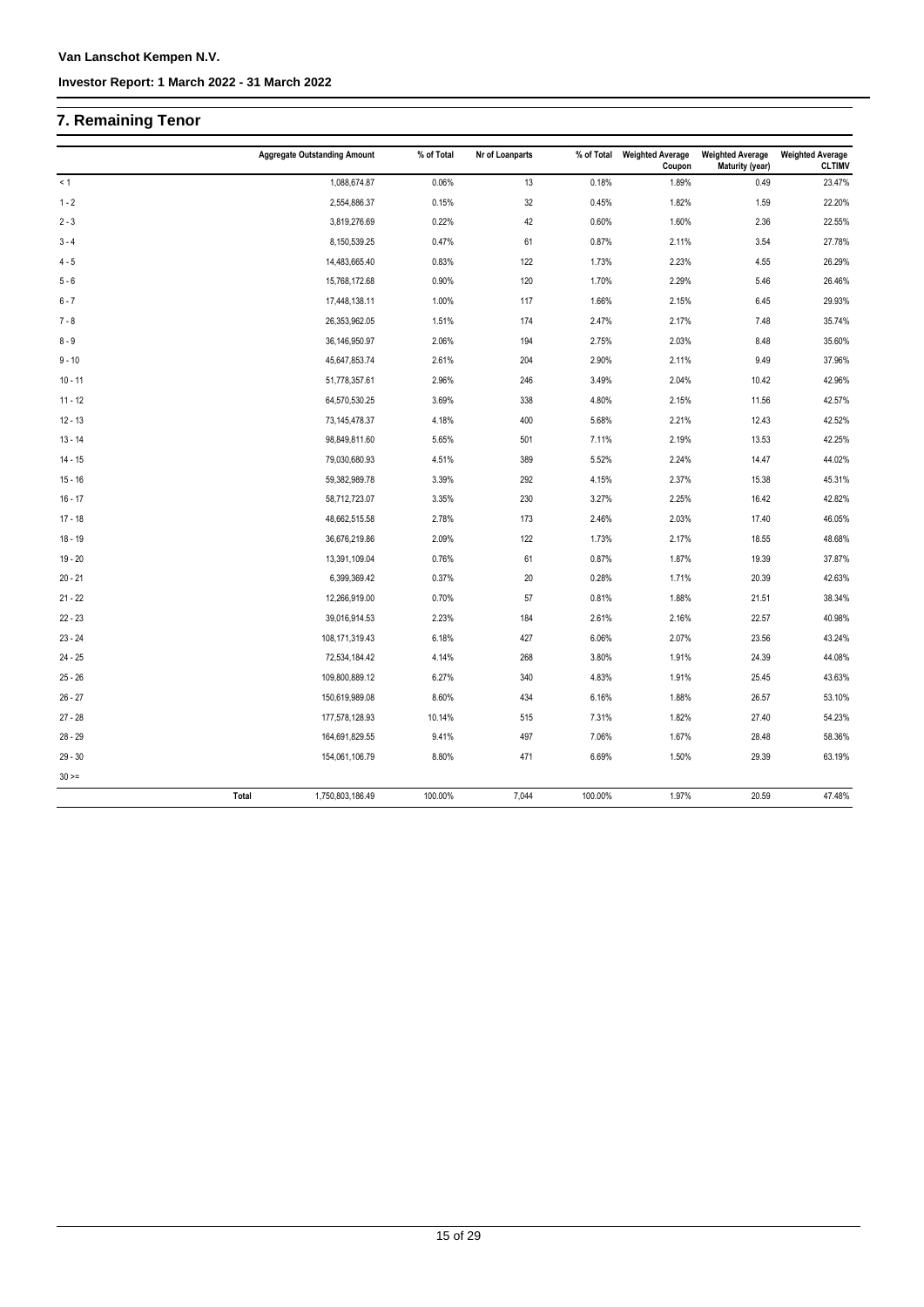# **7. Remaining Tenor**

|             | <b>Aggregate Outstanding Amount</b> | % of Total | Nr of Loanparts | % of Total | <b>Weighted Average</b><br>Coupon | <b>Weighted Average</b><br>Maturity (year) | <b>Weighted Average</b><br><b>CLTIMV</b> |
|-------------|-------------------------------------|------------|-----------------|------------|-----------------------------------|--------------------------------------------|------------------------------------------|
| < 1         | 1,088,674.87                        | 0.06%      | 13              | 0.18%      | 1.89%                             | 0.49                                       | 23.47%                                   |
| $1 - 2$     | 2,554,886.37                        | 0.15%      | 32              | 0.45%      | 1.82%                             | 1.59                                       | 22.20%                                   |
| $2 - 3$     | 3,819,276.69                        | 0.22%      | 42              | 0.60%      | 1.60%                             | 2.36                                       | 22.55%                                   |
| $3 - 4$     | 8,150,539.25                        | 0.47%      | 61              | 0.87%      | 2.11%                             | 3.54                                       | 27.78%                                   |
| $4 - 5$     | 14,483,665.40                       | 0.83%      | 122             | 1.73%      | 2.23%                             | 4.55                                       | 26.29%                                   |
| $5 - 6$     | 15,768,172.68                       | 0.90%      | 120             | 1.70%      | 2.29%                             | 5.46                                       | 26.46%                                   |
| $6 - 7$     | 17,448,138.11                       | 1.00%      | 117             | 1.66%      | 2.15%                             | 6.45                                       | 29.93%                                   |
| $7 - 8$     | 26,353,962.05                       | 1.51%      | 174             | 2.47%      | 2.17%                             | 7.48                                       | 35.74%                                   |
| $8 - 9$     | 36,146,950.97                       | 2.06%      | 194             | 2.75%      | 2.03%                             | 8.48                                       | 35.60%                                   |
| $9 - 10$    | 45,647,853.74                       | 2.61%      | 204             | 2.90%      | 2.11%                             | 9.49                                       | 37.96%                                   |
| $10 - 11$   | 51,778,357.61                       | 2.96%      | 246             | 3.49%      | 2.04%                             | 10.42                                      | 42.96%                                   |
| $11 - 12$   | 64,570,530.25                       | 3.69%      | 338             | 4.80%      | 2.15%                             | 11.56                                      | 42.57%                                   |
| $12 - 13$   | 73,145,478.37                       | 4.18%      | 400             | 5.68%      | 2.21%                             | 12.43                                      | 42.52%                                   |
| $13 - 14$   | 98,849,811.60                       | 5.65%      | 501             | 7.11%      | 2.19%                             | 13.53                                      | 42.25%                                   |
| $14 - 15$   | 79,030,680.93                       | 4.51%      | 389             | 5.52%      | 2.24%                             | 14.47                                      | 44.02%                                   |
| $15 - 16$   | 59,382,989.78                       | 3.39%      | 292             | 4.15%      | 2.37%                             | 15.38                                      | 45.31%                                   |
| $16 - 17$   | 58,712,723.07                       | 3.35%      | 230             | 3.27%      | 2.25%                             | 16.42                                      | 42.82%                                   |
| $17 - 18$   | 48,662,515.58                       | 2.78%      | 173             | 2.46%      | 2.03%                             | 17.40                                      | 46.05%                                   |
| $18 - 19$   | 36,676,219.86                       | 2.09%      | 122             | 1.73%      | 2.17%                             | 18.55                                      | 48.68%                                   |
| $19 - 20$   | 13,391,109.04                       | 0.76%      | 61              | 0.87%      | 1.87%                             | 19.39                                      | 37.87%                                   |
| $20 - 21$   | 6,399,369.42                        | 0.37%      | $20\,$          | 0.28%      | 1.71%                             | 20.39                                      | 42.63%                                   |
| $21 - 22$   | 12,266,919.00                       | 0.70%      | 57              | 0.81%      | 1.88%                             | 21.51                                      | 38.34%                                   |
| $22 - 23$   | 39,016,914.53                       | 2.23%      | 184             | 2.61%      | 2.16%                             | 22.57                                      | 40.98%                                   |
| $23 - 24$   | 108,171,319.43                      | 6.18%      | 427             | 6.06%      | 2.07%                             | 23.56                                      | 43.24%                                   |
| $24 - 25$   | 72,534,184.42                       | 4.14%      | 268             | 3.80%      | 1.91%                             | 24.39                                      | 44.08%                                   |
| $25 - 26$   | 109,800,889.12                      | 6.27%      | 340             | 4.83%      | 1.91%                             | 25.45                                      | 43.63%                                   |
| $26 - 27$   | 150,619,989.08                      | 8.60%      | 434             | 6.16%      | 1.88%                             | 26.57                                      | 53.10%                                   |
| $27 - 28$   | 177,578,128.93                      | 10.14%     | 515             | 7.31%      | 1.82%                             | 27.40                                      | 54.23%                                   |
| $28 - 29$   | 164,691,829.55                      | 9.41%      | 497             | 7.06%      | 1.67%                             | 28.48                                      | 58.36%                                   |
| $29 - 30$   | 154,061,106.79                      | 8.80%      | 471             | 6.69%      | 1.50%                             | 29.39                                      | 63.19%                                   |
| $30 \geq 1$ |                                     |            |                 |            |                                   |                                            |                                          |
|             | 1,750,803,186.49<br>Total           | 100.00%    | 7,044           | 100.00%    | 1.97%                             | 20.59                                      | 47.48%                                   |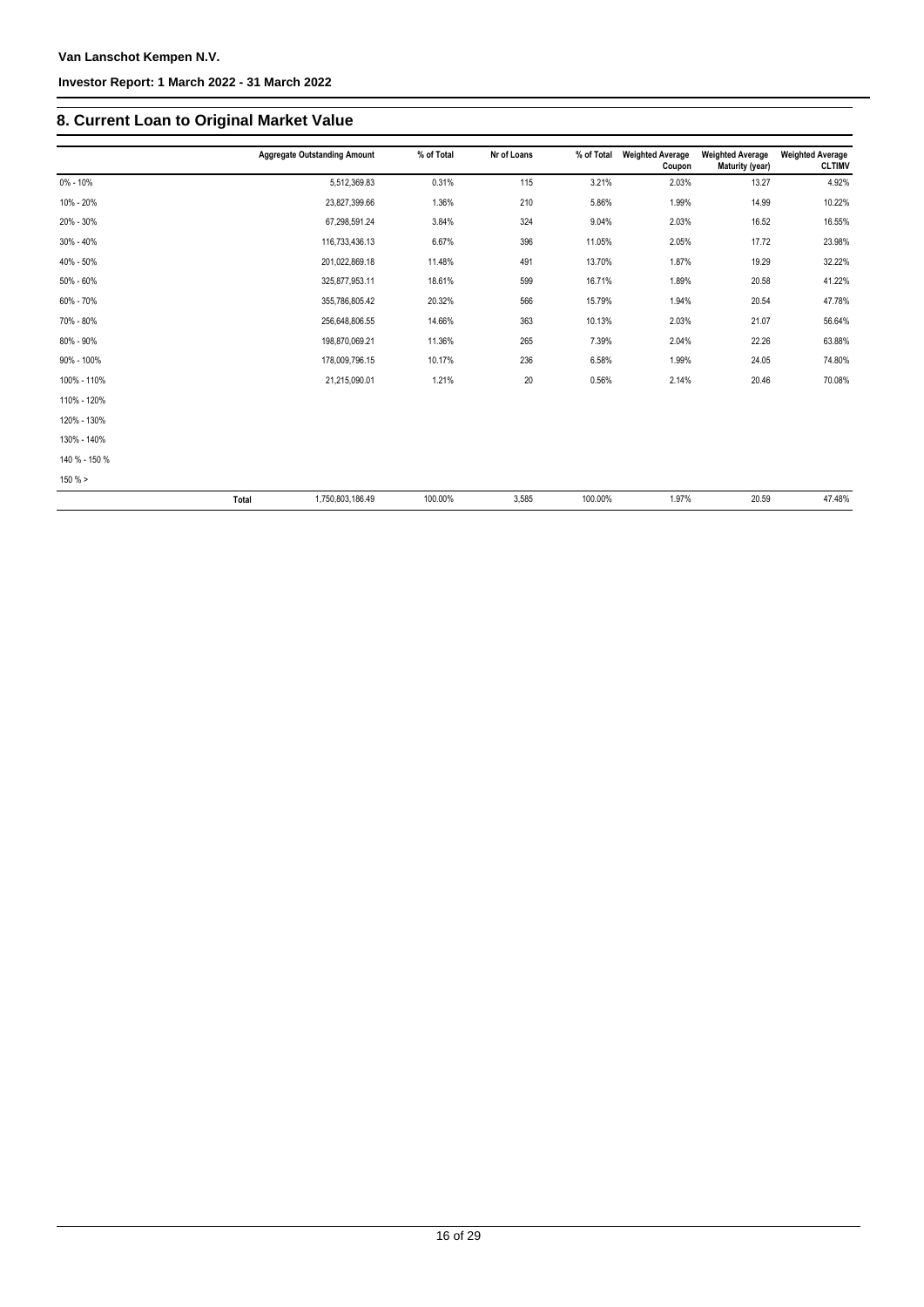# **8. Current Loan to Original Market Value**

|               | <b>Aggregate Outstanding Amount</b> | % of Total | Nr of Loans | % of Total | <b>Weighted Average</b><br>Coupon | <b>Weighted Average</b><br>Maturity (year) | <b>Weighted Average</b><br><b>CLTIMV</b> |
|---------------|-------------------------------------|------------|-------------|------------|-----------------------------------|--------------------------------------------|------------------------------------------|
| 0% - 10%      | 5,512,369.83                        | 0.31%      | 115         | 3.21%      | 2.03%                             | 13.27                                      | 4.92%                                    |
| 10% - 20%     | 23,827,399.66                       | 1.36%      | 210         | 5.86%      | 1.99%                             | 14.99                                      | 10.22%                                   |
| 20% - 30%     | 67,298,591.24                       | 3.84%      | 324         | 9.04%      | 2.03%                             | 16.52                                      | 16.55%                                   |
| 30% - 40%     | 116,733,436.13                      | 6.67%      | 396         | 11.05%     | 2.05%                             | 17.72                                      | 23.98%                                   |
| 40% - 50%     | 201,022,869.18                      | 11.48%     | 491         | 13.70%     | 1.87%                             | 19.29                                      | 32.22%                                   |
| 50% - 60%     | 325,877,953.11                      | 18.61%     | 599         | 16.71%     | 1.89%                             | 20.58                                      | 41.22%                                   |
| 60% - 70%     | 355,786,805.42                      | 20.32%     | 566         | 15.79%     | 1.94%                             | 20.54                                      | 47.78%                                   |
| 70% - 80%     | 256,648,806.55                      | 14.66%     | 363         | 10.13%     | 2.03%                             | 21.07                                      | 56.64%                                   |
| 80% - 90%     | 198,870,069.21                      | 11.36%     | 265         | 7.39%      | 2.04%                             | 22.26                                      | 63.88%                                   |
| 90% - 100%    | 178,009,796.15                      | 10.17%     | 236         | 6.58%      | 1.99%                             | 24.05                                      | 74.80%                                   |
| 100% - 110%   | 21,215,090.01                       | 1.21%      | 20          | 0.56%      | 2.14%                             | 20.46                                      | 70.08%                                   |
| 110% - 120%   |                                     |            |             |            |                                   |                                            |                                          |
| 120% - 130%   |                                     |            |             |            |                                   |                                            |                                          |
| 130% - 140%   |                                     |            |             |            |                                   |                                            |                                          |
| 140 % - 150 % |                                     |            |             |            |                                   |                                            |                                          |
| $150 \%$ >    |                                     |            |             |            |                                   |                                            |                                          |
|               | <b>Total</b><br>1,750,803,186.49    | 100.00%    | 3,585       | 100.00%    | 1.97%                             | 20.59                                      | 47.48%                                   |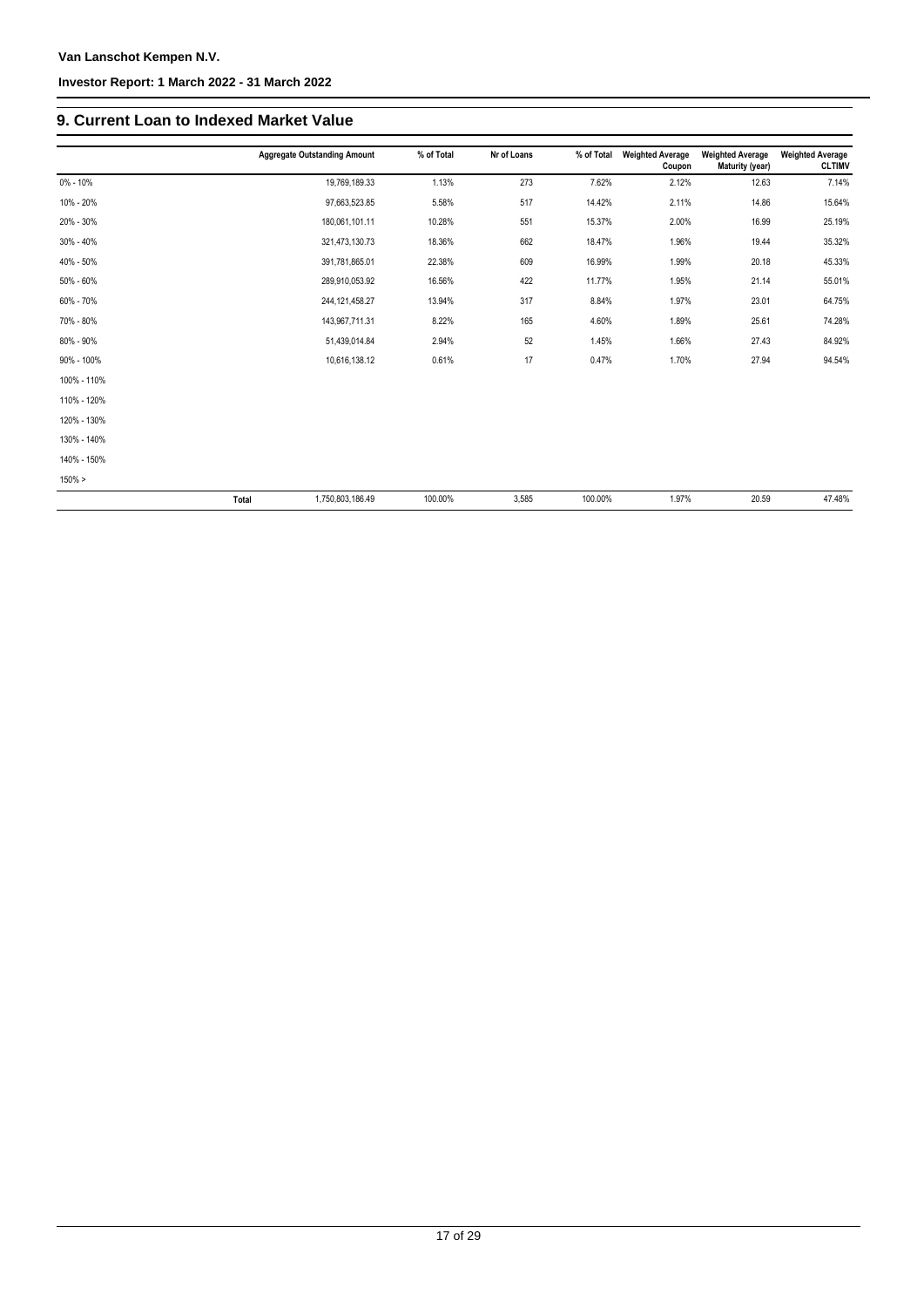### **Van Lanschot Kempen N.V.**

### **Investor Report: 1 March 2022 - 31 March 2022**

## **9. Current Loan to Indexed Market Value**

|              | <b>Aggregate Outstanding Amount</b> | % of Total | Nr of Loans | % of Total | <b>Weighted Average</b><br>Coupon | <b>Weighted Average</b><br>Maturity (year) | <b>Weighted Average</b><br><b>CLTIMV</b> |
|--------------|-------------------------------------|------------|-------------|------------|-----------------------------------|--------------------------------------------|------------------------------------------|
| $0\% - 10\%$ | 19,769,189.33                       | 1.13%      | 273         | 7.62%      | 2.12%                             | 12.63                                      | 7.14%                                    |
| 10% - 20%    | 97,663,523.85                       | 5.58%      | 517         | 14.42%     | 2.11%                             | 14.86                                      | 15.64%                                   |
| 20% - 30%    | 180,061,101.11                      | 10.28%     | 551         | 15.37%     | 2.00%                             | 16.99                                      | 25.19%                                   |
| 30% - 40%    | 321,473,130.73                      | 18.36%     | 662         | 18.47%     | 1.96%                             | 19.44                                      | 35.32%                                   |
| 40% - 50%    | 391,781,865.01                      | 22.38%     | 609         | 16.99%     | 1.99%                             | 20.18                                      | 45.33%                                   |
| 50% - 60%    | 289,910,053.92                      | 16.56%     | 422         | 11.77%     | 1.95%                             | 21.14                                      | 55.01%                                   |
| 60% - 70%    | 244, 121, 458. 27                   | 13.94%     | 317         | 8.84%      | 1.97%                             | 23.01                                      | 64.75%                                   |
| 70% - 80%    | 143,967,711.31                      | 8.22%      | 165         | 4.60%      | 1.89%                             | 25.61                                      | 74.28%                                   |
| 80% - 90%    | 51,439,014.84                       | 2.94%      | 52          | 1.45%      | 1.66%                             | 27.43                                      | 84.92%                                   |
| 90% - 100%   | 10,616,138.12                       | 0.61%      | 17          | 0.47%      | 1.70%                             | 27.94                                      | 94.54%                                   |
| 100% - 110%  |                                     |            |             |            |                                   |                                            |                                          |
| 110% - 120%  |                                     |            |             |            |                                   |                                            |                                          |
| 120% - 130%  |                                     |            |             |            |                                   |                                            |                                          |
| 130% - 140%  |                                     |            |             |            |                                   |                                            |                                          |
| 140% - 150%  |                                     |            |             |            |                                   |                                            |                                          |
| $150\% >$    |                                     |            |             |            |                                   |                                            |                                          |
|              | Total<br>1,750,803,186.49           | 100.00%    | 3,585       | 100.00%    | 1.97%                             | 20.59                                      | 47.48%                                   |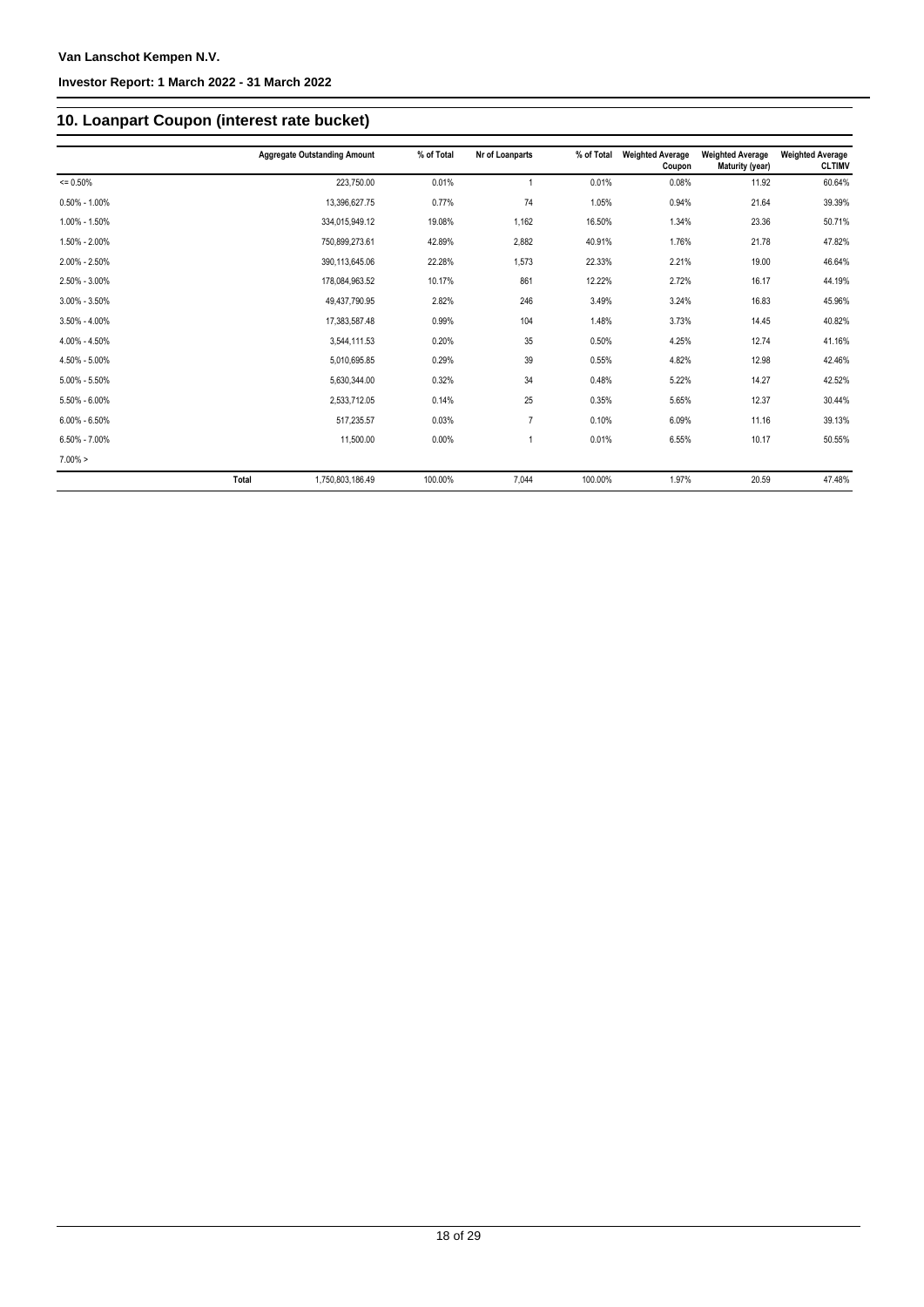# **10. Loanpart Coupon (interest rate bucket)**

|                   |              | <b>Aggregate Outstanding Amount</b> | % of Total | Nr of Loanparts | % of Total | <b>Weighted Average</b><br>Coupon | <b>Weighted Average</b><br>Maturity (year) | <b>Weighted Average</b><br><b>CLTIMV</b> |
|-------------------|--------------|-------------------------------------|------------|-----------------|------------|-----------------------------------|--------------------------------------------|------------------------------------------|
| $= 0.50%$         |              | 223,750.00                          | 0.01%      |                 | 0.01%      | 0.08%                             | 11.92                                      | 60.64%                                   |
| $0.50\% - 1.00\%$ |              | 13,396,627.75                       | 0.77%      | 74              | 1.05%      | 0.94%                             | 21.64                                      | 39.39%                                   |
| 1.00% - 1.50%     |              | 334,015,949.12                      | 19.08%     | 1,162           | 16.50%     | 1.34%                             | 23.36                                      | 50.71%                                   |
| 1.50% - 2.00%     |              | 750,899,273.61                      | 42.89%     | 2,882           | 40.91%     | 1.76%                             | 21.78                                      | 47.82%                                   |
| 2.00% - 2.50%     |              | 390,113,645.06                      | 22.28%     | 1,573           | 22.33%     | 2.21%                             | 19.00                                      | 46.64%                                   |
| 2.50% - 3.00%     |              | 178,084,963.52                      | 10.17%     | 861             | 12.22%     | 2.72%                             | 16.17                                      | 44.19%                                   |
| $3.00\% - 3.50\%$ |              | 49,437,790.95                       | 2.82%      | 246             | 3.49%      | 3.24%                             | 16.83                                      | 45.96%                                   |
| $3.50\% - 4.00\%$ |              | 17,383,587.48                       | 0.99%      | 104             | 1.48%      | 3.73%                             | 14.45                                      | 40.82%                                   |
| 4.00% - 4.50%     |              | 3.544.111.53                        | 0.20%      | 35              | 0.50%      | 4.25%                             | 12.74                                      | 41.16%                                   |
| 4.50% - 5.00%     |              | 5,010,695.85                        | 0.29%      | 39              | 0.55%      | 4.82%                             | 12.98                                      | 42.46%                                   |
| $5.00\% - 5.50\%$ |              | 5,630,344.00                        | 0.32%      | 34              | 0.48%      | 5.22%                             | 14.27                                      | 42.52%                                   |
| 5.50% - 6.00%     |              | 2,533,712.05                        | 0.14%      | 25              | 0.35%      | 5.65%                             | 12.37                                      | 30.44%                                   |
| $6.00\% - 6.50\%$ |              | 517,235.57                          | 0.03%      | $\overline{7}$  | 0.10%      | 6.09%                             | 11.16                                      | 39.13%                                   |
| $6.50\% - 7.00\%$ |              | 11,500.00                           | 0.00%      | 1               | 0.01%      | 6.55%                             | 10.17                                      | 50.55%                                   |
| $7.00\% >$        |              |                                     |            |                 |            |                                   |                                            |                                          |
|                   | <b>Total</b> | 1.750.803.186.49                    | 100.00%    | 7.044           | 100.00%    | 1.97%                             | 20.59                                      | 47.48%                                   |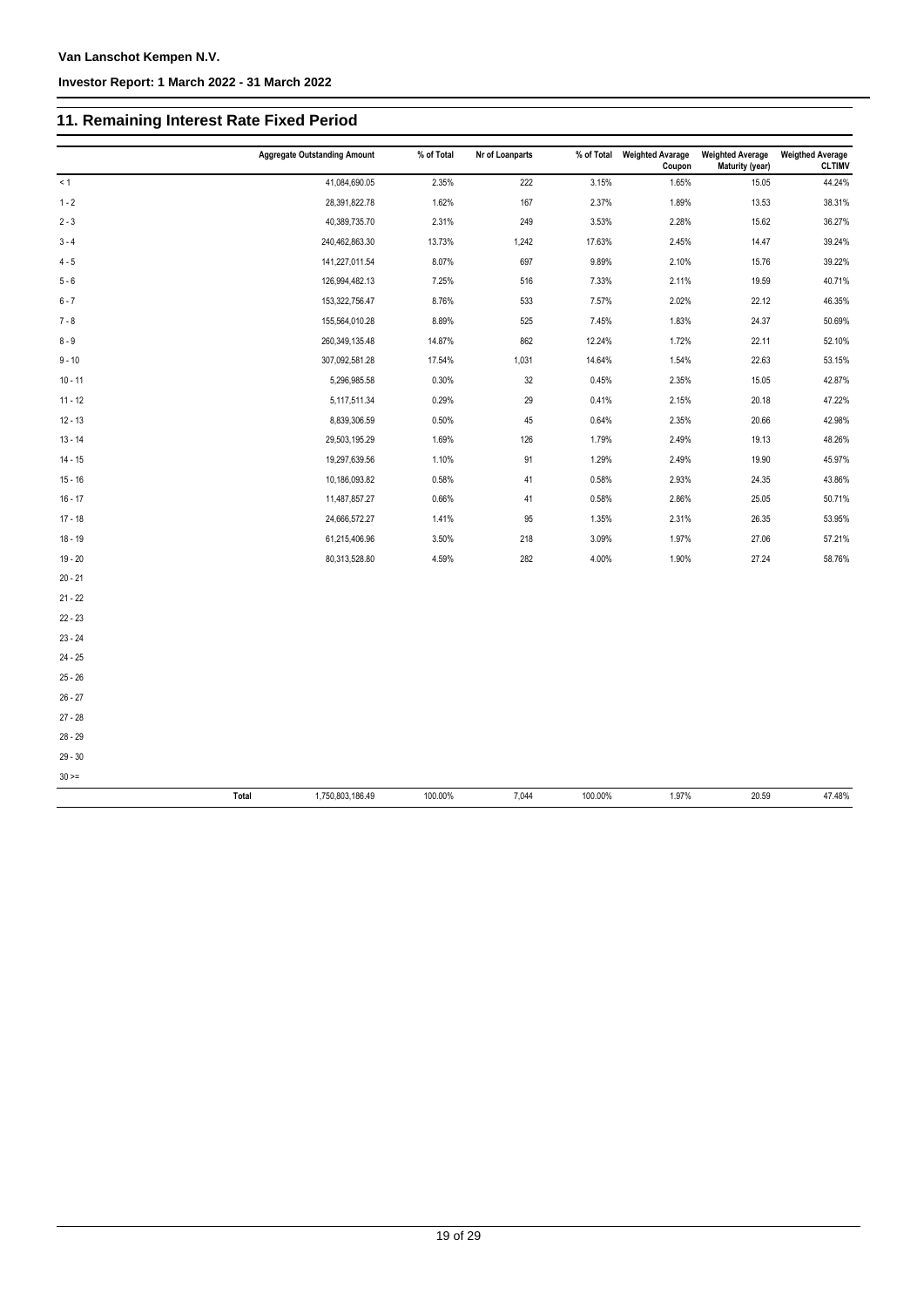# **11. Remaining Interest Rate Fixed Period**

|           | <b>Aggregate Outstanding Amount</b> | % of Total | Nr of Loanparts | % of Total | <b>Weighted Avarage</b><br>Coupon | <b>Weighted Average</b><br>Maturity (year) | <b>Weigthed Average</b><br><b>CLTIMV</b> |
|-----------|-------------------------------------|------------|-----------------|------------|-----------------------------------|--------------------------------------------|------------------------------------------|
| < 1       | 41,084,690.05                       | 2.35%      | 222             | 3.15%      | 1.65%                             | 15.05                                      | 44.24%                                   |
| $1 - 2$   | 28,391,822.78                       | 1.62%      | 167             | 2.37%      | 1.89%                             | 13.53                                      | 38.31%                                   |
| $2 - 3$   | 40,389,735.70                       | 2.31%      | 249             | 3.53%      | 2.28%                             | 15.62                                      | 36.27%                                   |
| $3 - 4$   | 240,462,863.30                      | 13.73%     | 1,242           | 17.63%     | 2.45%                             | 14.47                                      | 39.24%                                   |
| $4 - 5$   | 141,227,011.54                      | 8.07%      | 697             | 9.89%      | 2.10%                             | 15.76                                      | 39.22%                                   |
| $5 - 6$   | 126,994,482.13                      | 7.25%      | 516             | 7.33%      | 2.11%                             | 19.59                                      | 40.71%                                   |
| $6 - 7$   | 153,322,756.47                      | 8.76%      | 533             | 7.57%      | 2.02%                             | 22.12                                      | 46.35%                                   |
| $7 - 8$   | 155,564,010.28                      | 8.89%      | 525             | 7.45%      | 1.83%                             | 24.37                                      | 50.69%                                   |
| $8 - 9$   | 260,349,135.48                      | 14.87%     | 862             | 12.24%     | 1.72%                             | 22.11                                      | 52.10%                                   |
| $9 - 10$  | 307,092,581.28                      | 17.54%     | 1,031           | 14.64%     | 1.54%                             | 22.63                                      | 53.15%                                   |
| $10 - 11$ | 5,296,985.58                        | 0.30%      | 32              | 0.45%      | 2.35%                             | 15.05                                      | 42.87%                                   |
| $11 - 12$ | 5,117,511.34                        | 0.29%      | 29              | 0.41%      | 2.15%                             | 20.18                                      | 47.22%                                   |
| $12 - 13$ | 8,839,306.59                        | 0.50%      | 45              | 0.64%      | 2.35%                             | 20.66                                      | 42.98%                                   |
| $13 - 14$ | 29,503,195.29                       | 1.69%      | 126             | 1.79%      | 2.49%                             | 19.13                                      | 48.26%                                   |
| $14 - 15$ | 19,297,639.56                       | 1.10%      | 91              | 1.29%      | 2.49%                             | 19.90                                      | 45.97%                                   |
| $15 - 16$ | 10,186,093.82                       | 0.58%      | 41              | 0.58%      | 2.93%                             | 24.35                                      | 43.86%                                   |
| $16 - 17$ | 11,487,857.27                       | 0.66%      | 41              | 0.58%      | 2.86%                             | 25.05                                      | 50.71%                                   |
| $17 - 18$ | 24,666,572.27                       | 1.41%      | 95              | 1.35%      | 2.31%                             | 26.35                                      | 53.95%                                   |
| $18 - 19$ | 61,215,406.96                       | 3.50%      | 218             | 3.09%      | 1.97%                             | 27.06                                      | 57.21%                                   |
| $19 - 20$ | 80,313,528.80                       | 4.59%      | 282             | 4.00%      | 1.90%                             | 27.24                                      | 58.76%                                   |
| $20 - 21$ |                                     |            |                 |            |                                   |                                            |                                          |
| $21 - 22$ |                                     |            |                 |            |                                   |                                            |                                          |
| $22 - 23$ |                                     |            |                 |            |                                   |                                            |                                          |
| $23 - 24$ |                                     |            |                 |            |                                   |                                            |                                          |
| $24 - 25$ |                                     |            |                 |            |                                   |                                            |                                          |
| $25 - 26$ |                                     |            |                 |            |                                   |                                            |                                          |
| $26 - 27$ |                                     |            |                 |            |                                   |                                            |                                          |
| $27 - 28$ |                                     |            |                 |            |                                   |                                            |                                          |
| $28 - 29$ |                                     |            |                 |            |                                   |                                            |                                          |
| $29 - 30$ |                                     |            |                 |            |                                   |                                            |                                          |
| $30 > =$  |                                     |            |                 |            |                                   |                                            |                                          |
|           | 1,750,803,186.49<br><b>Total</b>    | 100.00%    | 7,044           | 100.00%    | 1.97%                             | 20.59                                      | 47.48%                                   |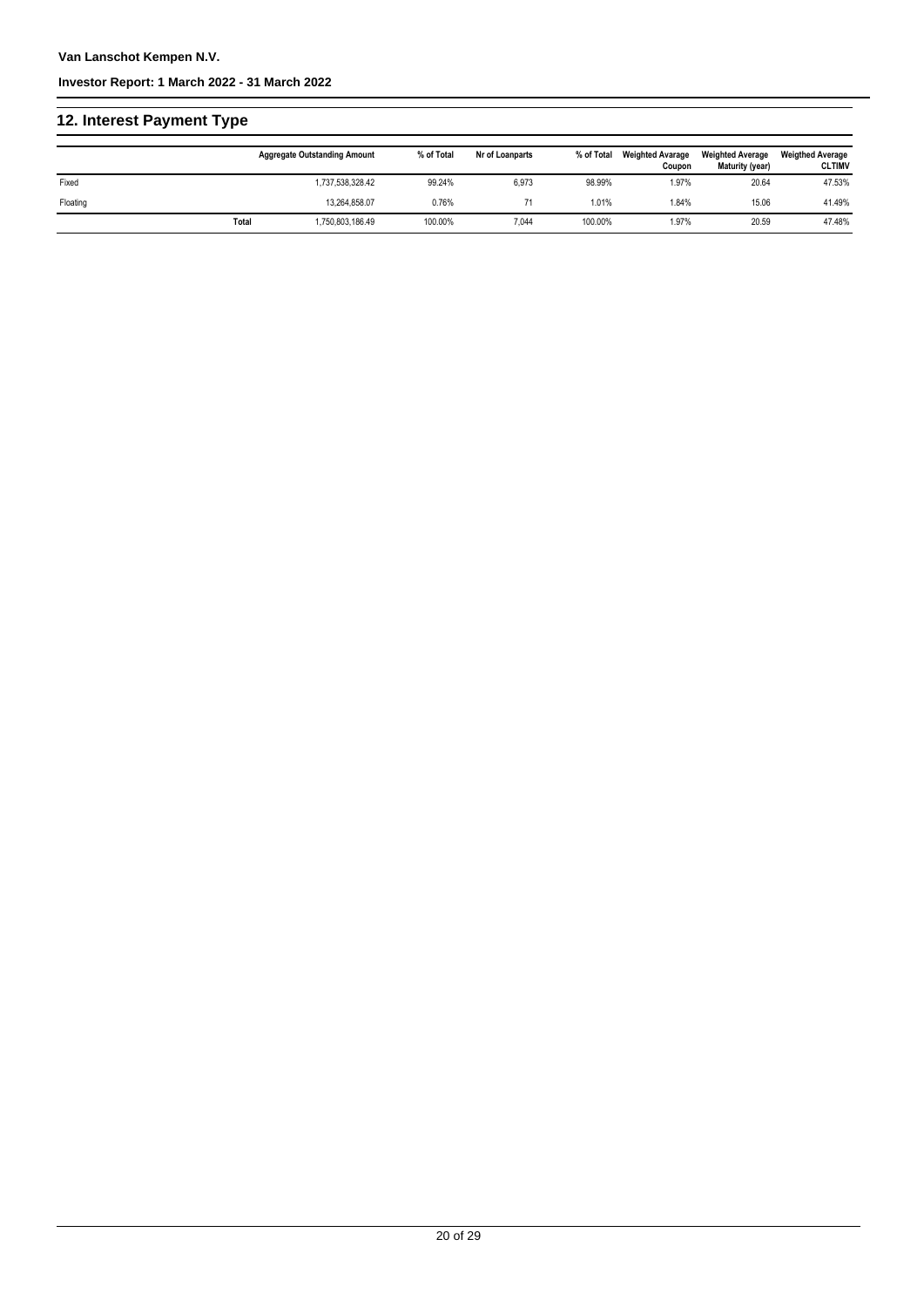# **12. Interest Payment Type**

|          |       | <b>Aggregate Outstanding Amount</b> | % of Total | Nr of Loanparts | % of Total | <b>Weighted Avarage</b><br>Coupon | <b>Weighted Average</b><br>Maturity (year) | <b>Weigthed Average</b><br><b>CLTIMV</b> |
|----------|-------|-------------------------------------|------------|-----------------|------------|-----------------------------------|--------------------------------------------|------------------------------------------|
| Fixed    |       | 1,737,538,328.42                    | 99.24%     | 6,973           | 98.99%     | 1.97%                             | 20.64                                      | 47.53%                                   |
| Floating |       | 13.264.858.07                       | 0.76%      |                 | 1.01%      | 1.84%                             | 15.06                                      | 41.49%                                   |
|          | Total | 1,750,803,186.49                    | 100.00%    | 7,044           | 100.00%    | 1.97%                             | 20.59                                      | 47.48%                                   |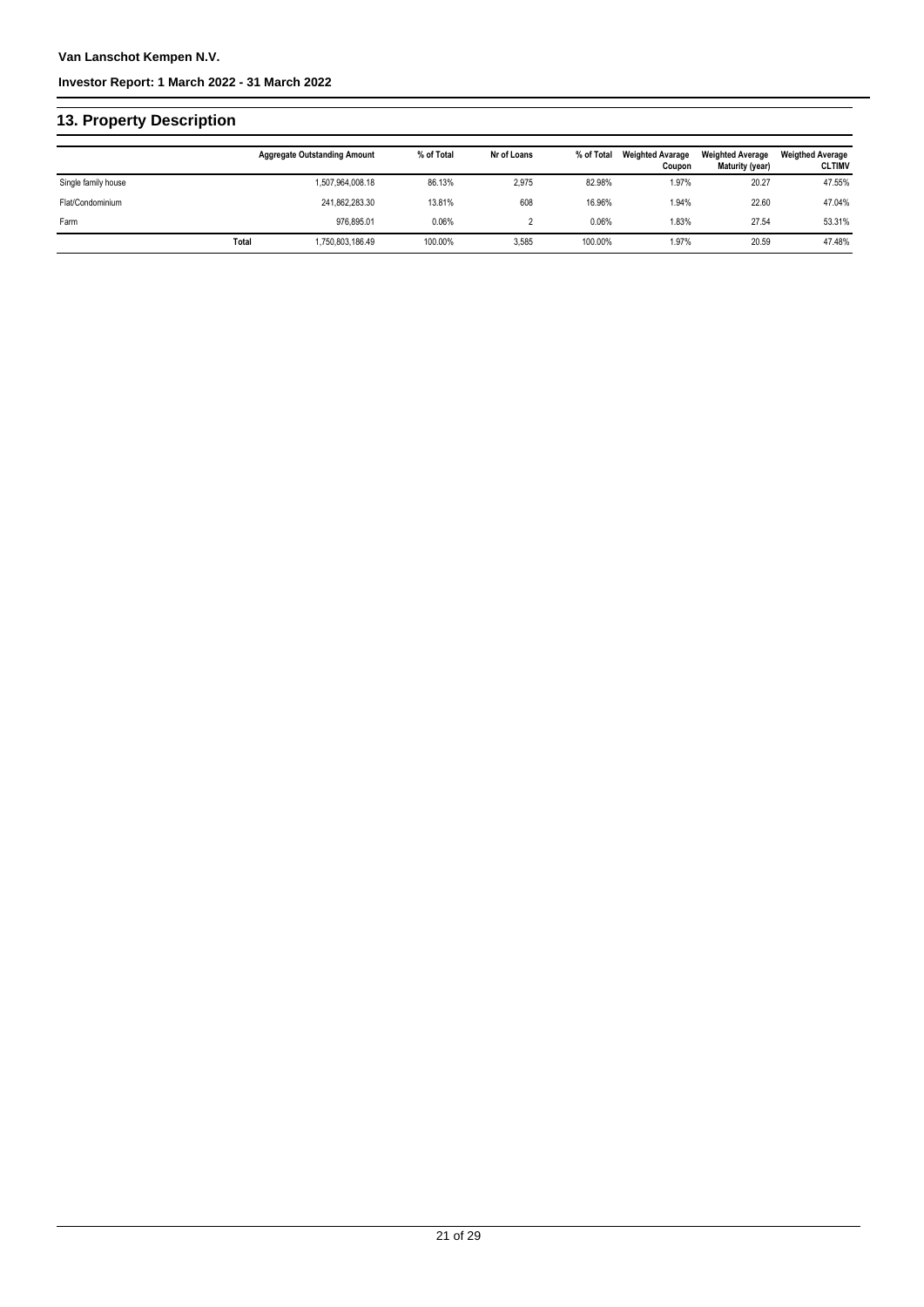# **13. Property Description**

|                     |       | <b>Aggregate Outstanding Amount</b> | % of Total | Nr of Loans | % of Total | <b>Weighted Avarage</b><br>Coupon | <b>Weighted Average</b><br>Maturity (year) | <b>Weigthed Average</b><br><b>CLTIMV</b> |
|---------------------|-------|-------------------------------------|------------|-------------|------------|-----------------------------------|--------------------------------------------|------------------------------------------|
| Single family house |       | 1,507,964,008.18                    | 86.13%     | 2,975       | 82.98%     | 1.97%                             | 20.27                                      | 47.55%                                   |
| Flat/Condominium    |       | 241.862.283.30                      | 13.81%     | 608         | 16.96%     | 1.94%                             | 22.60                                      | 47.04%                                   |
| Farm                |       | 976.895.01                          | 0.06%      |             | 0.06%      | 1.83%                             | 27.54                                      | 53.31%                                   |
|                     | Total | .750.803.186.49                     | 100.00%    | 3,585       | 100.00%    | 1.97%                             | 20.59                                      | 47.48%                                   |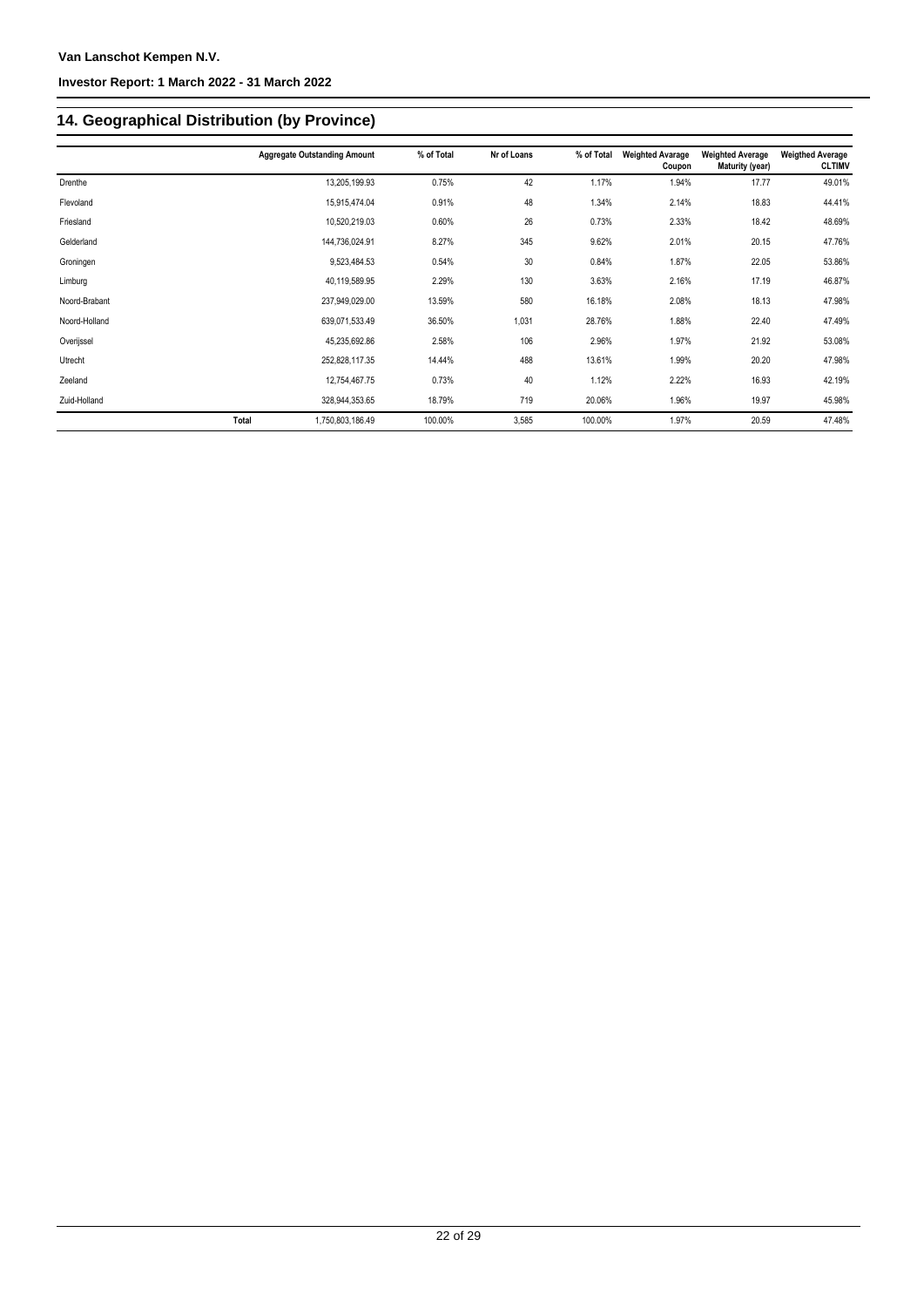# **14. Geographical Distribution (by Province)**

|               |       | <b>Aggregate Outstanding Amount</b> | % of Total | Nr of Loans | % of Total | <b>Weighted Avarage</b><br>Coupon | <b>Weighted Average</b><br>Maturity (year) | <b>Weigthed Average</b><br><b>CLTIMV</b> |
|---------------|-------|-------------------------------------|------------|-------------|------------|-----------------------------------|--------------------------------------------|------------------------------------------|
| Drenthe       |       | 13,205,199.93                       | 0.75%      | 42          | 1.17%      | 1.94%                             | 17.77                                      | 49.01%                                   |
| Flevoland     |       | 15,915,474.04                       | 0.91%      | 48          | 1.34%      | 2.14%                             | 18.83                                      | 44.41%                                   |
| Friesland     |       | 10,520,219.03                       | 0.60%      | 26          | 0.73%      | 2.33%                             | 18.42                                      | 48.69%                                   |
| Gelderland    |       | 144,736,024.91                      | 8.27%      | 345         | 9.62%      | 2.01%                             | 20.15                                      | 47.76%                                   |
| Groningen     |       | 9,523,484.53                        | 0.54%      | 30          | 0.84%      | 1.87%                             | 22.05                                      | 53.86%                                   |
| Limburg       |       | 40,119,589.95                       | 2.29%      | 130         | 3.63%      | 2.16%                             | 17.19                                      | 46.87%                                   |
| Noord-Brabant |       | 237,949,029.00                      | 13.59%     | 580         | 16.18%     | 2.08%                             | 18.13                                      | 47.98%                                   |
| Noord-Holland |       | 639,071,533.49                      | 36.50%     | 1,031       | 28.76%     | 1.88%                             | 22.40                                      | 47.49%                                   |
| Overijssel    |       | 45,235,692.86                       | 2.58%      | 106         | 2.96%      | 1.97%                             | 21.92                                      | 53.08%                                   |
| Utrecht       |       | 252,828,117.35                      | 14.44%     | 488         | 13.61%     | 1.99%                             | 20.20                                      | 47.98%                                   |
| Zeeland       |       | 12,754,467.75                       | 0.73%      | 40          | 1.12%      | 2.22%                             | 16.93                                      | 42.19%                                   |
| Zuid-Holland  |       | 328,944,353.65                      | 18.79%     | 719         | 20.06%     | 1.96%                             | 19.97                                      | 45.98%                                   |
|               | Total | 1,750,803,186.49                    | 100.00%    | 3,585       | 100.00%    | 1.97%                             | 20.59                                      | 47.48%                                   |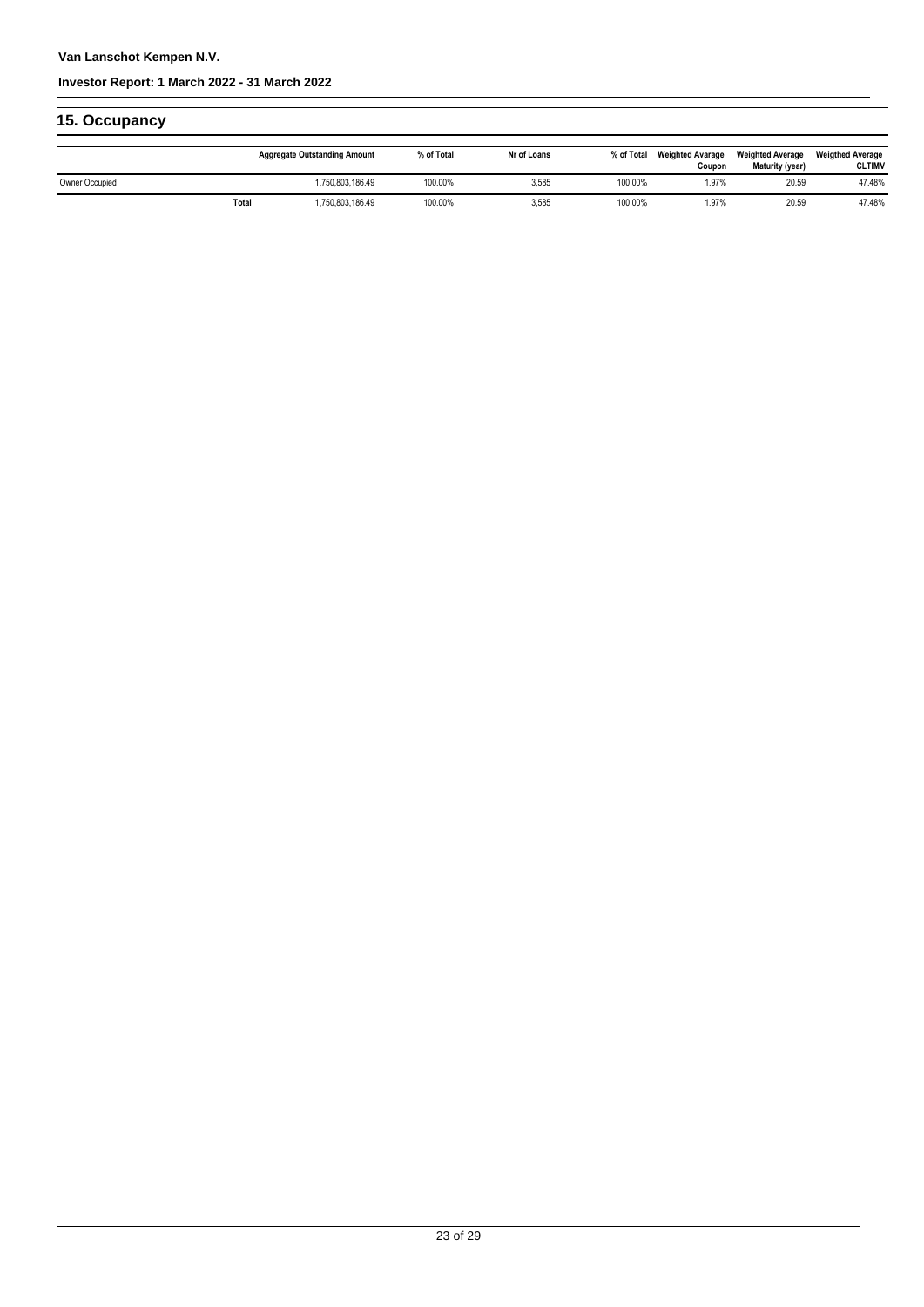### **Van Lanschot Kempen N.V.**

#### **Investor Report: 1 March 2022 - 31 March 2022**

# **15. Occupancy**

|                |       | <b>Aggregate Outstanding Amount</b> | % of Total | Nr of Loans | % of Total | <b>Weighted Avarage</b><br>Coupon | <b>Weighted Average</b><br>Maturity (year) | <b>Weigthed Average</b><br><b>CLTIMV</b> |
|----------------|-------|-------------------------------------|------------|-------------|------------|-----------------------------------|--------------------------------------------|------------------------------------------|
| Owner Occupied |       | .750.803.186.49                     | 100.00%    | 3,585       | 100.00%    | 1.97%                             | 20.59                                      | 47.48%                                   |
|                | Total | .750.803.186.49                     | 100.00%    | 3,585       | 100.00%    | 1.97%                             | 20.59                                      | 47.48%                                   |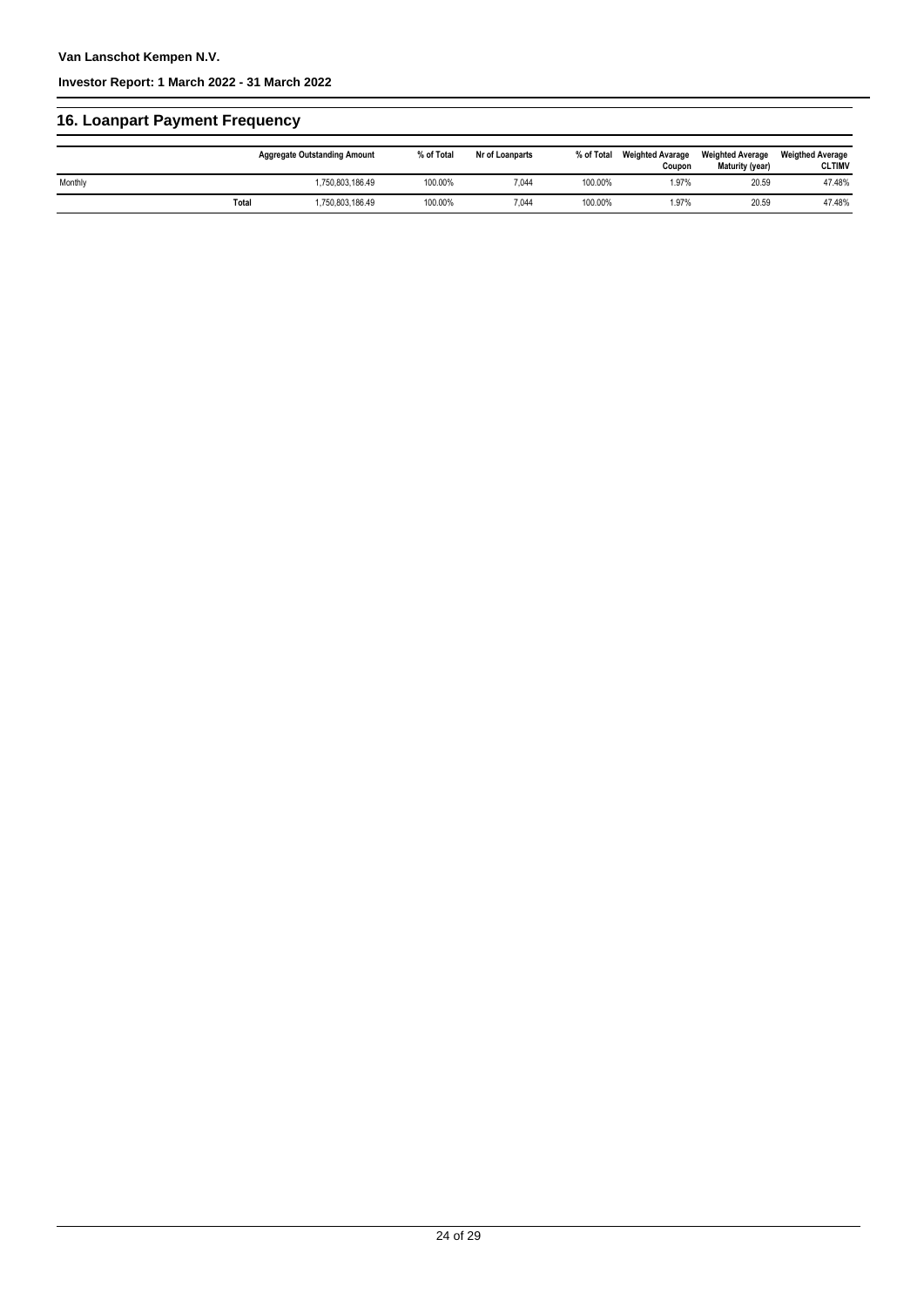# **16. Loanpart Payment Frequency**

|         |       | <b>Aggregate Outstanding Amount</b> | % of Total | Nr of Loanparts | % of Total | <b>Weighted Avarage</b><br>Coupon | <b>Weighted Average</b><br>Maturity (year) | <b>Weigthed Average</b><br><b>CLTIMV</b> |
|---------|-------|-------------------------------------|------------|-----------------|------------|-----------------------------------|--------------------------------------------|------------------------------------------|
| Monthly |       | 1,750,803,186.49                    | 100.00%    | 7,044           | 100.00%    | .97%                              | 20.59                                      | 47.48%                                   |
|         | Total | 1,750,803,186.49                    | 100.00%    | 7,044           | 100.00%    | 1.97%                             | 20.59                                      | 47.48%                                   |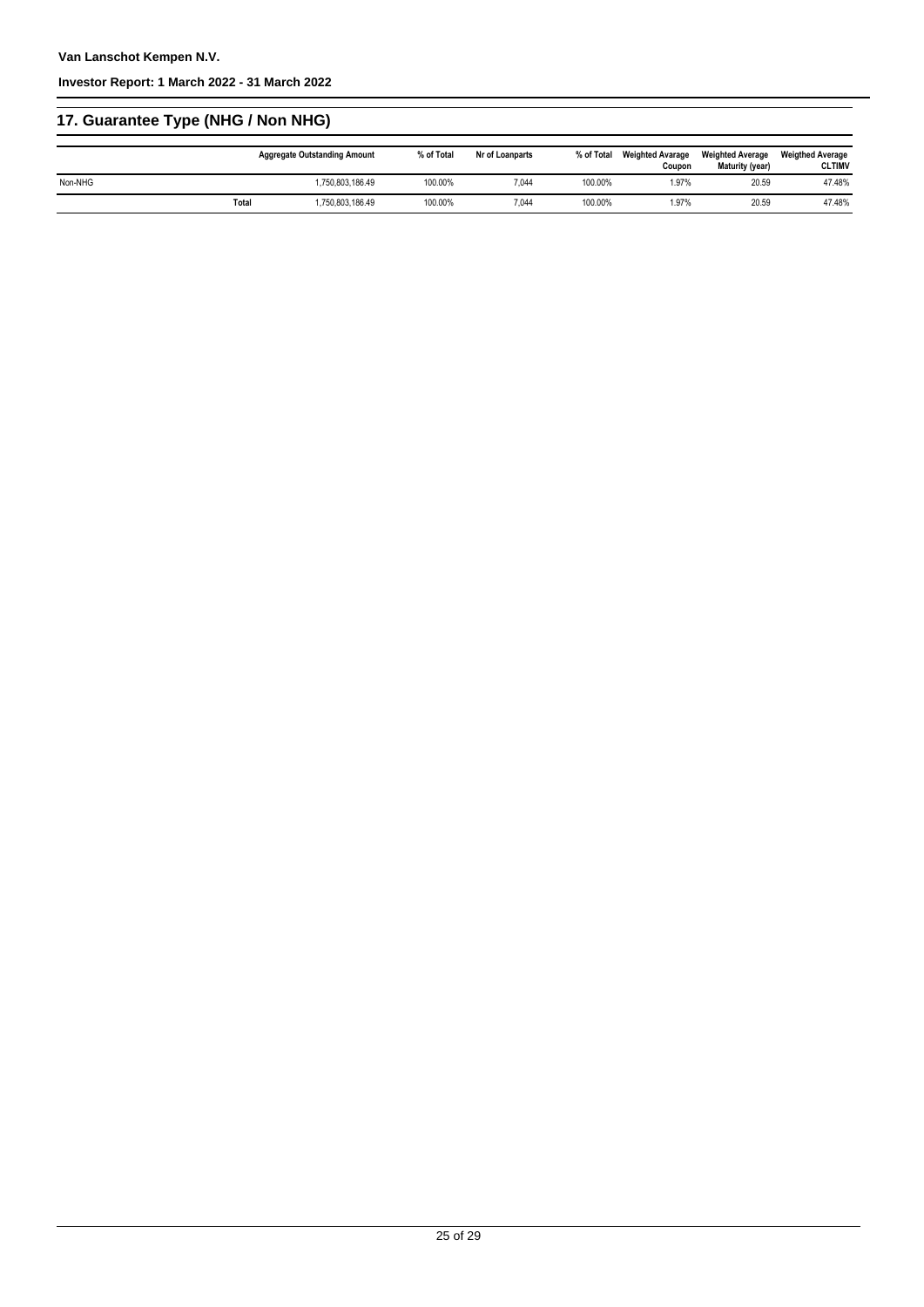# **17. Guarantee Type (NHG / Non NHG)**

|         |              | <b>Aggregate Outstanding Amount</b> | % of Total | Nr of Loanparts | % of Total | <b>Weighted Avarage</b><br>Coupon | <b>Weighted Average</b><br>Maturity (year) | <b>Weigthed Average</b><br><b>CLTIMV</b> |
|---------|--------------|-------------------------------------|------------|-----------------|------------|-----------------------------------|--------------------------------------------|------------------------------------------|
| Non-NHG |              | 1.750.803.186.49                    | 100.00%    | 7.044           | 100.00%    | 1.97%                             | 20.59                                      | 47.48%                                   |
|         | <b>Total</b> | 1,750,803,186.49                    | 100.00%    | 7,044           | 100.00%    | 1.97%                             | 20.59                                      | 47.48%                                   |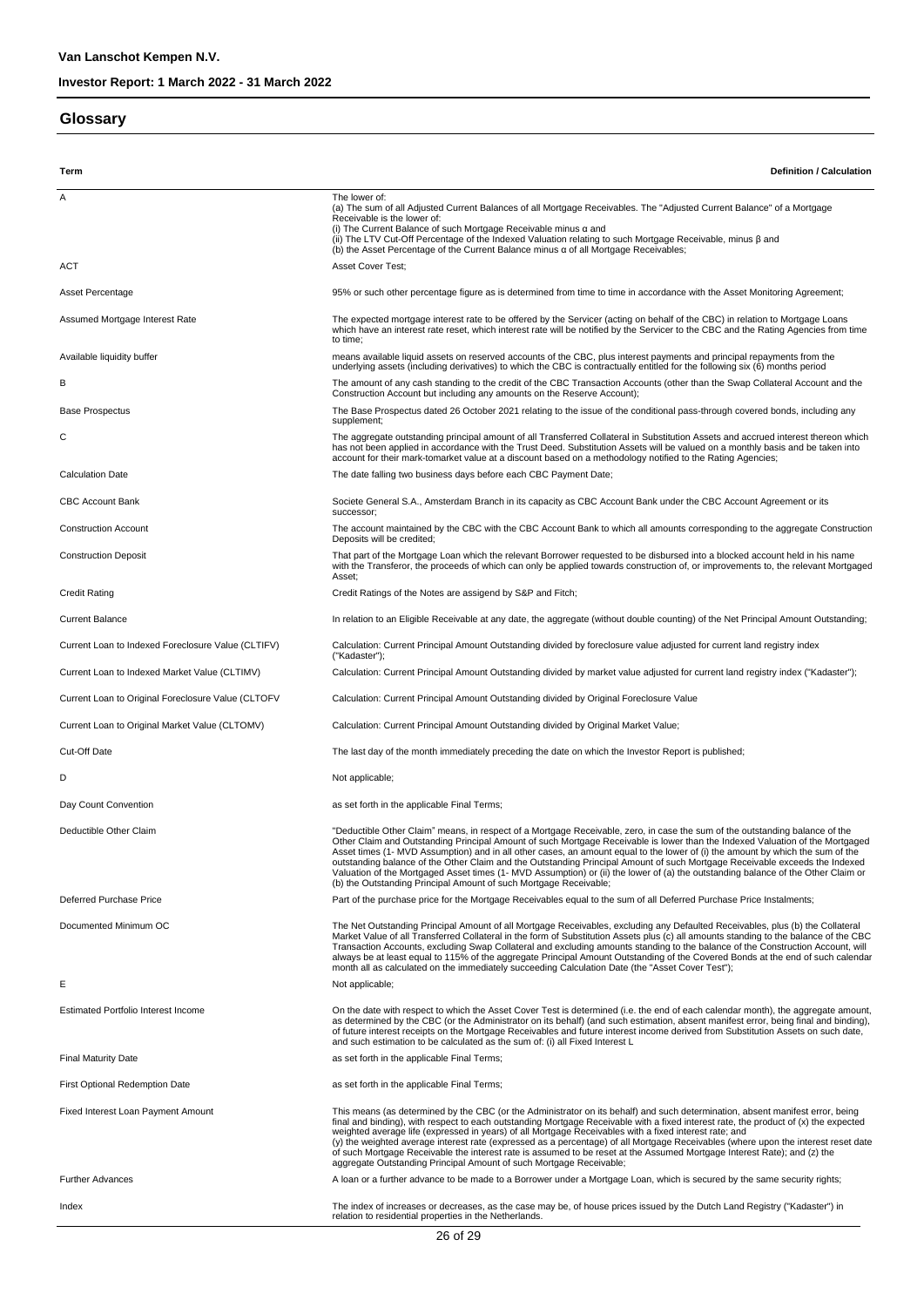#### **Glossary**

**Term Definition / Calculation** A The lower of: (a) The sum of all Adjusted Current Balances of all Mortgage Receivables. The "Adjusted Current Balance" of a Mortgage Receivable is the lower of: (i) The Current Balance of such Mortgage Receivable minus α and<br>(ii) The LTV Cut-Off Percentage of the Indexed Valuation relating to such Mortgage Receivable, minus β and<br>(b) the Asset Percentage of the Current Balance mi ACT ACT Asset Cover Test: Asset Percentage entity and the state of the Percentage figure as is determined from time to time in accordance with the Asset Monitoring Agreement; Assumed Mortgage Interest Rate The Expected mortgage interest rate to be offered by the Servicer (acting on behalf of the CBC) in relation to Mortgage Loans which have an interest rate reset, which interest rate will be notified by the Servicer to the CBC and the Rating Agencies from time to time; means available liquid assets on reserved accounts of the CBC, plus interest payments and principal repayments from the<br>underlying assets (including derivatives) to which the CBC is contractually entitled for the following B The amount of any cash standing to the credit of the CBC Transaction Accounts (other than the Swap Collateral Account and the Construction Account but including any amounts on the Reserve Account); Base Prospectus The Base Prospectus dated 26 October 2021 relating to the issue of the conditional pass-through covered bonds, including any supplement; The aggregate outstanding principal amount of all Transferred Collateral in Substitution Assets and accrued interest thereon which<br>has not been applied in accordance with the Trust Deed. Substitution Assets will be valued account for their mark-tomarket value at a discount based on a methodology notified to the Rating Agencies; Calculation Date The date falling two business days before each CBC Payment Date; CBC Account Bank Societe General S.A., Amsterdam Branch in its capacity as CBC Account Bank under the CBC Account Agreement or its successor; Construction Account maintained by the CBC with the CBC Account Bank to which all amounts corresponding to the aggregate Construction Deposits will be credited; Construction Deposit That part of the Mortgage Loan which the relevant Borrower requested to be disbursed into a blocked account held in his name with the Transferor, the proceeds of which can only be applied towards construction of, or improvements to, the relevant Mortgaged Asset; Credit Rating Credit Ratings of the Notes are assigend by S&P and Fitch; Current Balance In relation to an Eligible Receivable at any date, the aggregate (without double counting) of the Net Principal Amount Outstanding; Current Loan to Indexed Foreclosure Value (CLTIFV) Calculation: Current Principal Amount Outstanding divided by foreclosure value adjusted for current land registry index ("Kadaster"); Current Loan to Indexed Market Value (CLTIMV) Calculation: Current Principal Amount Outstanding divided by market value adjusted for current land registry index ("Kadaster"); Current Loan to Original Foreclosure Value (CLTOFV Calculation: Current Principal Amount Outstanding divided by Original Foreclosure Value Current Loan to Original Market Value (CLTOMV) Calculation: Current Principal Amount Outstanding divided by Original Market Value; Cut-Off Date The last day of the month immediately preceding the date on which the Investor Report is published; D Not applicable; Day Count Convention **by Count Convention** as set forth in the applicable Final Terms; "Deductible Other Claim" means, in respect of a Mortgage Receivable, zero, in case the sum of the outstanding balance of the<br>Other Claim and Outstanding Principal Amount of such Mortgage Receivable is lower than the Indexe Asset times (1- MVD Assumption) and in all other cases, an amount equal to the lower of (i) the amount by which the sum of the<br>outstanding balance of the Other Claim and the Outstanding Principal Amount of such Mortgage Re Valuation of the Mortgaged Asset times (1- MVD Assumption) or (ii) the lower of (a) the outstanding balance of the Other Claim or (b) the Outstanding Principal Amount of such Mortgage Receivable; Deferred Purchase Price Price Price Price Part of the purchase price for the Mortgage Receivables equal to the sum of all Deferred Purchase Price Instalments; The Net Outstanding Principal Amount of all Mortgage Receivables, excluding any Defaulted Receivables, plus (b) the Collateral<br>Market Value of all Transferred Collateral in the form of Substitution Assets plus (c) all amou always be at least equal to 115% of the aggregate Principal Amount Outstanding of the Covered Bonds at the end of such calendar<br>month all as calculated on the immediately succeeding Calculation Date (the "Asset Cover Test" E Estimated Portfolio Interest Income **On the Cate with respect to which the Asset Cover Test** is determined (i.e. the end of each calendar month), the aggregate amount, as determined by the CBC (or the Administrator on its behalf) (and such estimation, absent manifest error, being final and binding), of future interest receipts on the Mortgage Receivables and future interest income derived from Substitution Assets on such date,<br>and such estimation to be calculated as the sum of: (i) all Fixed Interest L Final Maturity Date and the applicable Final Terms; as set forth in the applicable Final Terms; First Optional Redemption Date as set forth in the applicable Final Terms; Fixed Interest Loan Payment Amount This means (as determined by the CBC (or the Administrator on its behalf) and such determination, absent manifest error, being final and binding), with respect to each outstanding Mortgage Receivable with a fixed interest rate, the product of (x) the expected<br>weighted average life (expressed in years) of all Mortgage Receivables with a fixed inter of such Mortgage Receivable the interest rate is assumed to be reset at the Assumed Mortgage Interest Rate); and (z) the aggregate Outstanding Principal Amount of such Mortgage Receivable; Further Advances **A** loan or a further advance to be made to a Borrower under a Mortgage Loan, which is secured by the same security rights; Index the index of increases or decreases, as the case may be, of house prices issued by the Dutch Land Registry ("Kadaster") in relation to residential properties in the Netherlands.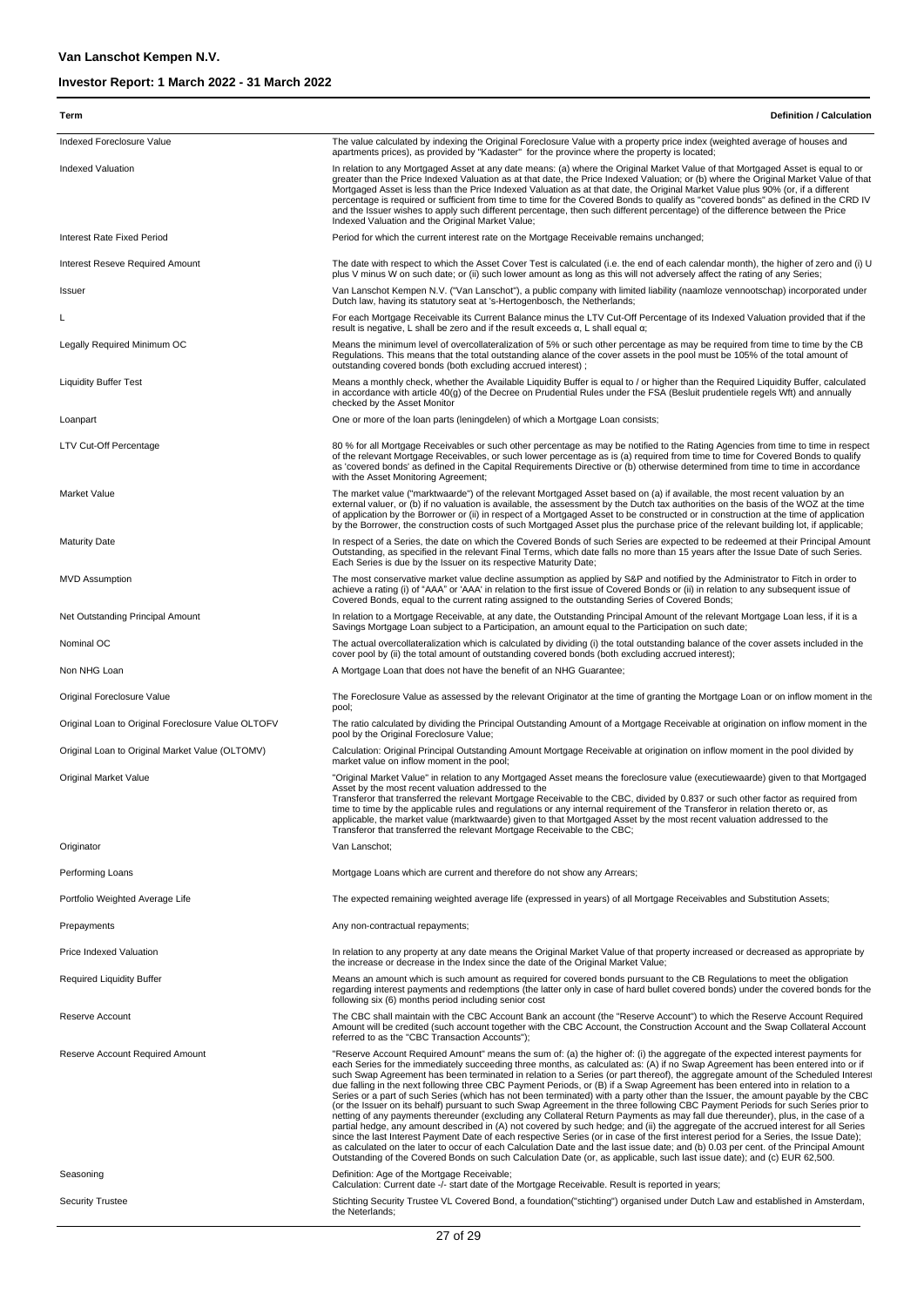| Term                                               | <b>Definition / Calculation</b>                                                                                                                                                                                                                                                                                                                                                                                                                                                                                                                                                                                                                                                                                                                                                                                                                                                                                                                                                                                                                                                                                                                                                                                                                                                                                                                                                                                                                                                                             |
|----------------------------------------------------|-------------------------------------------------------------------------------------------------------------------------------------------------------------------------------------------------------------------------------------------------------------------------------------------------------------------------------------------------------------------------------------------------------------------------------------------------------------------------------------------------------------------------------------------------------------------------------------------------------------------------------------------------------------------------------------------------------------------------------------------------------------------------------------------------------------------------------------------------------------------------------------------------------------------------------------------------------------------------------------------------------------------------------------------------------------------------------------------------------------------------------------------------------------------------------------------------------------------------------------------------------------------------------------------------------------------------------------------------------------------------------------------------------------------------------------------------------------------------------------------------------------|
| Indexed Foreclosure Value                          | The value calculated by indexing the Original Foreclosure Value with a property price index (weighted average of houses and                                                                                                                                                                                                                                                                                                                                                                                                                                                                                                                                                                                                                                                                                                                                                                                                                                                                                                                                                                                                                                                                                                                                                                                                                                                                                                                                                                                 |
|                                                    | apartments prices), as provided by "Kadaster" for the province where the property is located;                                                                                                                                                                                                                                                                                                                                                                                                                                                                                                                                                                                                                                                                                                                                                                                                                                                                                                                                                                                                                                                                                                                                                                                                                                                                                                                                                                                                               |
| <b>Indexed Valuation</b>                           | In relation to any Mortgaged Asset at any date means: (a) where the Original Market Value of that Mortgaged Asset is equal to or<br>greater than the Price Indexed Valuation as at that date, the Price Indexed Valuation; or (b) where the Original Market Value of that<br>Mortgaged Asset is less than the Price Indexed Valuation as at that date, the Original Market Value plus 90% (or, if a different<br>percentage is required or sufficient from time to time for the Covered Bonds to qualify as "covered bonds" as defined in the CRD IV<br>and the Issuer wishes to apply such different percentage, then such different percentage) of the difference between the Price<br>Indexed Valuation and the Original Market Value;                                                                                                                                                                                                                                                                                                                                                                                                                                                                                                                                                                                                                                                                                                                                                                   |
| Interest Rate Fixed Period                         | Period for which the current interest rate on the Mortgage Receivable remains unchanged;                                                                                                                                                                                                                                                                                                                                                                                                                                                                                                                                                                                                                                                                                                                                                                                                                                                                                                                                                                                                                                                                                                                                                                                                                                                                                                                                                                                                                    |
| Interest Reseve Required Amount                    | The date with respect to which the Asset Cover Test is calculated (i.e. the end of each calendar month), the higher of zero and (i) U<br>plus V minus W on such date; or (ii) such lower amount as long as this will not adversely affect the rating of any Series;                                                                                                                                                                                                                                                                                                                                                                                                                                                                                                                                                                                                                                                                                                                                                                                                                                                                                                                                                                                                                                                                                                                                                                                                                                         |
| Issuer                                             | Van Lanschot Kempen N.V. ("Van Lanschot"), a public company with limited liability (naamloze vennootschap) incorporated under<br>Dutch law, having its statutory seat at 's-Hertogenbosch, the Netherlands;                                                                                                                                                                                                                                                                                                                                                                                                                                                                                                                                                                                                                                                                                                                                                                                                                                                                                                                                                                                                                                                                                                                                                                                                                                                                                                 |
| L                                                  | For each Mortgage Receivable its Current Balance minus the LTV Cut-Off Percentage of its Indexed Valuation provided that if the<br>result is negative, L shall be zero and if the result exceeds $\alpha$ , L shall equal $\alpha$ ;                                                                                                                                                                                                                                                                                                                                                                                                                                                                                                                                                                                                                                                                                                                                                                                                                                                                                                                                                                                                                                                                                                                                                                                                                                                                        |
| Legally Required Minimum OC                        | Means the minimum level of overcollateralization of 5% or such other percentage as may be required from time to time by the CB<br>Regulations. This means that the total outstanding alance of the cover assets in the pool must be 105% of the total amount of<br>outstanding covered bonds (both excluding accrued interest);                                                                                                                                                                                                                                                                                                                                                                                                                                                                                                                                                                                                                                                                                                                                                                                                                                                                                                                                                                                                                                                                                                                                                                             |
| <b>Liquidity Buffer Test</b>                       | Means a monthly check, whether the Available Liquidity Buffer is equal to / or higher than the Required Liquidity Buffer, calculated<br>in accordance with article 40(g) of the Decree on Prudential Rules under the FSA (Besluit prudentiele regels Wft) and annually<br>checked by the Asset Monitor                                                                                                                                                                                                                                                                                                                                                                                                                                                                                                                                                                                                                                                                                                                                                                                                                                                                                                                                                                                                                                                                                                                                                                                                      |
| Loanpart                                           | One or more of the loan parts (leningdelen) of which a Mortgage Loan consists;                                                                                                                                                                                                                                                                                                                                                                                                                                                                                                                                                                                                                                                                                                                                                                                                                                                                                                                                                                                                                                                                                                                                                                                                                                                                                                                                                                                                                              |
| LTV Cut-Off Percentage                             | 80 % for all Mortgage Receivables or such other percentage as may be notified to the Rating Agencies from time to time in respect<br>of the relevant Mortgage Receivables, or such lower percentage as is (a) required from time to time for Covered Bonds to qualify<br>as 'covered bonds' as defined in the Capital Requirements Directive or (b) otherwise determined from time to time in accordance<br>with the Asset Monitoring Agreement;                                                                                                                                                                                                                                                                                                                                                                                                                                                                                                                                                                                                                                                                                                                                                                                                                                                                                                                                                                                                                                                            |
| Market Value                                       | The market value ("marktwaarde") of the relevant Mortgaged Asset based on (a) if available, the most recent valuation by an<br>external valuer, or (b) if no valuation is available, the assessment by the Dutch tax authorities on the basis of the WOZ at the time<br>of application by the Borrower or (ii) in respect of a Mortgaged Asset to be constructed or in construction at the time of application<br>by the Borrower, the construction costs of such Mortgaged Asset plus the purchase price of the relevant building lot, if applicable;                                                                                                                                                                                                                                                                                                                                                                                                                                                                                                                                                                                                                                                                                                                                                                                                                                                                                                                                                      |
| <b>Maturity Date</b>                               | In respect of a Series, the date on which the Covered Bonds of such Series are expected to be redeemed at their Principal Amount<br>Outstanding, as specified in the relevant Final Terms, which date falls no more than 15 years after the Issue Date of such Series.<br>Each Series is due by the Issuer on its respective Maturity Date;                                                                                                                                                                                                                                                                                                                                                                                                                                                                                                                                                                                                                                                                                                                                                                                                                                                                                                                                                                                                                                                                                                                                                                 |
| <b>MVD Assumption</b>                              | The most conservative market value decline assumption as applied by S&P and notified by the Administrator to Fitch in order to<br>achieve a rating (i) of "AAA" or 'AAA' in relation to the first issue of Covered Bonds or (ii) in relation to any subsequent issue of<br>Covered Bonds, equal to the current rating assigned to the outstanding Series of Covered Bonds;                                                                                                                                                                                                                                                                                                                                                                                                                                                                                                                                                                                                                                                                                                                                                                                                                                                                                                                                                                                                                                                                                                                                  |
| Net Outstanding Principal Amount                   | In relation to a Mortgage Receivable, at any date, the Outstanding Principal Amount of the relevant Mortgage Loan less, if it is a<br>Savings Mortgage Loan subject to a Participation, an amount equal to the Participation on such date;                                                                                                                                                                                                                                                                                                                                                                                                                                                                                                                                                                                                                                                                                                                                                                                                                                                                                                                                                                                                                                                                                                                                                                                                                                                                  |
| Nominal OC                                         | The actual overcollateralization which is calculated by dividing (i) the total outstanding balance of the cover assets included in the<br>cover pool by (ii) the total amount of outstanding covered bonds (both excluding accrued interest);                                                                                                                                                                                                                                                                                                                                                                                                                                                                                                                                                                                                                                                                                                                                                                                                                                                                                                                                                                                                                                                                                                                                                                                                                                                               |
| Non NHG Loan                                       | A Mortgage Loan that does not have the benefit of an NHG Guarantee;                                                                                                                                                                                                                                                                                                                                                                                                                                                                                                                                                                                                                                                                                                                                                                                                                                                                                                                                                                                                                                                                                                                                                                                                                                                                                                                                                                                                                                         |
| Original Foreclosure Value                         | The Foreclosure Value as assessed by the relevant Originator at the time of granting the Mortgage Loan or on inflow moment in the<br>pool;                                                                                                                                                                                                                                                                                                                                                                                                                                                                                                                                                                                                                                                                                                                                                                                                                                                                                                                                                                                                                                                                                                                                                                                                                                                                                                                                                                  |
| Original Loan to Original Foreclosure Value OLTOFV | The ratio calculated by dividing the Principal Outstanding Amount of a Mortgage Receivable at origination on inflow moment in the<br>pool by the Original Foreclosure Value;                                                                                                                                                                                                                                                                                                                                                                                                                                                                                                                                                                                                                                                                                                                                                                                                                                                                                                                                                                                                                                                                                                                                                                                                                                                                                                                                |
| Original Loan to Original Market Value (OLTOMV)    | Calculation: Original Principal Outstanding Amount Mortgage Receivable at origination on inflow moment in the pool divided by<br>market value on inflow moment in the pool;                                                                                                                                                                                                                                                                                                                                                                                                                                                                                                                                                                                                                                                                                                                                                                                                                                                                                                                                                                                                                                                                                                                                                                                                                                                                                                                                 |
| Original Market Value<br>Originator                | "Original Market Value" in relation to any Mortgaged Asset means the foreclosure value (executiewaarde) given to that Mortgaged<br>Asset by the most recent valuation addressed to the<br>Transferor that transferred the relevant Mortgage Receivable to the CBC, divided by 0.837 or such other factor as required from<br>time to time by the applicable rules and regulations or any internal requirement of the Transferor in relation thereto or, as<br>applicable, the market value (marktwaarde) given to that Mortgaged Asset by the most recent valuation addressed to the<br>Transferor that transferred the relevant Mortgage Receivable to the CBC;<br>Van Lanschot;                                                                                                                                                                                                                                                                                                                                                                                                                                                                                                                                                                                                                                                                                                                                                                                                                           |
| Performing Loans                                   | Mortgage Loans which are current and therefore do not show any Arrears;                                                                                                                                                                                                                                                                                                                                                                                                                                                                                                                                                                                                                                                                                                                                                                                                                                                                                                                                                                                                                                                                                                                                                                                                                                                                                                                                                                                                                                     |
| Portfolio Weighted Average Life                    | The expected remaining weighted average life (expressed in years) of all Mortgage Receivables and Substitution Assets;                                                                                                                                                                                                                                                                                                                                                                                                                                                                                                                                                                                                                                                                                                                                                                                                                                                                                                                                                                                                                                                                                                                                                                                                                                                                                                                                                                                      |
| Prepayments                                        | Any non-contractual repayments;                                                                                                                                                                                                                                                                                                                                                                                                                                                                                                                                                                                                                                                                                                                                                                                                                                                                                                                                                                                                                                                                                                                                                                                                                                                                                                                                                                                                                                                                             |
|                                                    |                                                                                                                                                                                                                                                                                                                                                                                                                                                                                                                                                                                                                                                                                                                                                                                                                                                                                                                                                                                                                                                                                                                                                                                                                                                                                                                                                                                                                                                                                                             |
| Price Indexed Valuation                            | In relation to any property at any date means the Original Market Value of that property increased or decreased as appropriate by<br>the increase or decrease in the Index since the date of the Original Market Value;                                                                                                                                                                                                                                                                                                                                                                                                                                                                                                                                                                                                                                                                                                                                                                                                                                                                                                                                                                                                                                                                                                                                                                                                                                                                                     |
| <b>Required Liquidity Buffer</b>                   | Means an amount which is such amount as required for covered bonds pursuant to the CB Regulations to meet the obligation<br>regarding interest payments and redemptions (the latter only in case of hard bullet covered bonds) under the covered bonds for the<br>following six (6) months period including senior cost                                                                                                                                                                                                                                                                                                                                                                                                                                                                                                                                                                                                                                                                                                                                                                                                                                                                                                                                                                                                                                                                                                                                                                                     |
| Reserve Account                                    | The CBC shall maintain with the CBC Account Bank an account (the "Reserve Account") to which the Reserve Account Required<br>Amount will be credited (such account together with the CBC Account, the Construction Account and the Swap Collateral Account<br>referred to as the "CBC Transaction Accounts");                                                                                                                                                                                                                                                                                                                                                                                                                                                                                                                                                                                                                                                                                                                                                                                                                                                                                                                                                                                                                                                                                                                                                                                               |
| Reserve Account Required Amount                    | "Reserve Account Required Amount" means the sum of: (a) the higher of: (i) the aggregate of the expected interest payments for<br>each Series for the immediately succeeding three months, as calculated as: (A) if no Swap Agreement has been entered into or if<br>such Swap Agreement has been terminated in relation to a Series (or part thereof), the aggregate amount of the Scheduled Interest<br>due falling in the next following three CBC Payment Periods, or (B) if a Swap Agreement has been entered into in relation to a<br>Series or a part of such Series (which has not been terminated) with a party other than the Issuer, the amount payable by the CBC<br>(or the Issuer on its behalf) pursuant to such Swap Agreement in the three following CBC Payment Periods for such Series prior to<br>netting of any payments thereunder (excluding any Collateral Return Payments as may fall due thereunder), plus, in the case of a<br>partial hedge, any amount described in (A) not covered by such hedge; and (ii) the aggregate of the accrued interest for all Series<br>since the last Interest Payment Date of each respective Series (or in case of the first interest period for a Series, the Issue Date);<br>as calculated on the later to occur of each Calculation Date and the last issue date; and (b) 0.03 per cent. of the Principal Amount<br>Outstanding of the Covered Bonds on such Calculation Date (or, as applicable, such last issue date); and (c) EUR 62,500. |
| Seasoning                                          | Definition: Age of the Mortgage Receivable;<br>Calculation: Current date -/- start date of the Mortgage Receivable. Result is reported in years;                                                                                                                                                                                                                                                                                                                                                                                                                                                                                                                                                                                                                                                                                                                                                                                                                                                                                                                                                                                                                                                                                                                                                                                                                                                                                                                                                            |
| <b>Security Trustee</b>                            | Stichting Security Trustee VL Covered Bond, a foundation("stichting") organised under Dutch Law and established in Amsterdam,<br>the Neterlands;                                                                                                                                                                                                                                                                                                                                                                                                                                                                                                                                                                                                                                                                                                                                                                                                                                                                                                                                                                                                                                                                                                                                                                                                                                                                                                                                                            |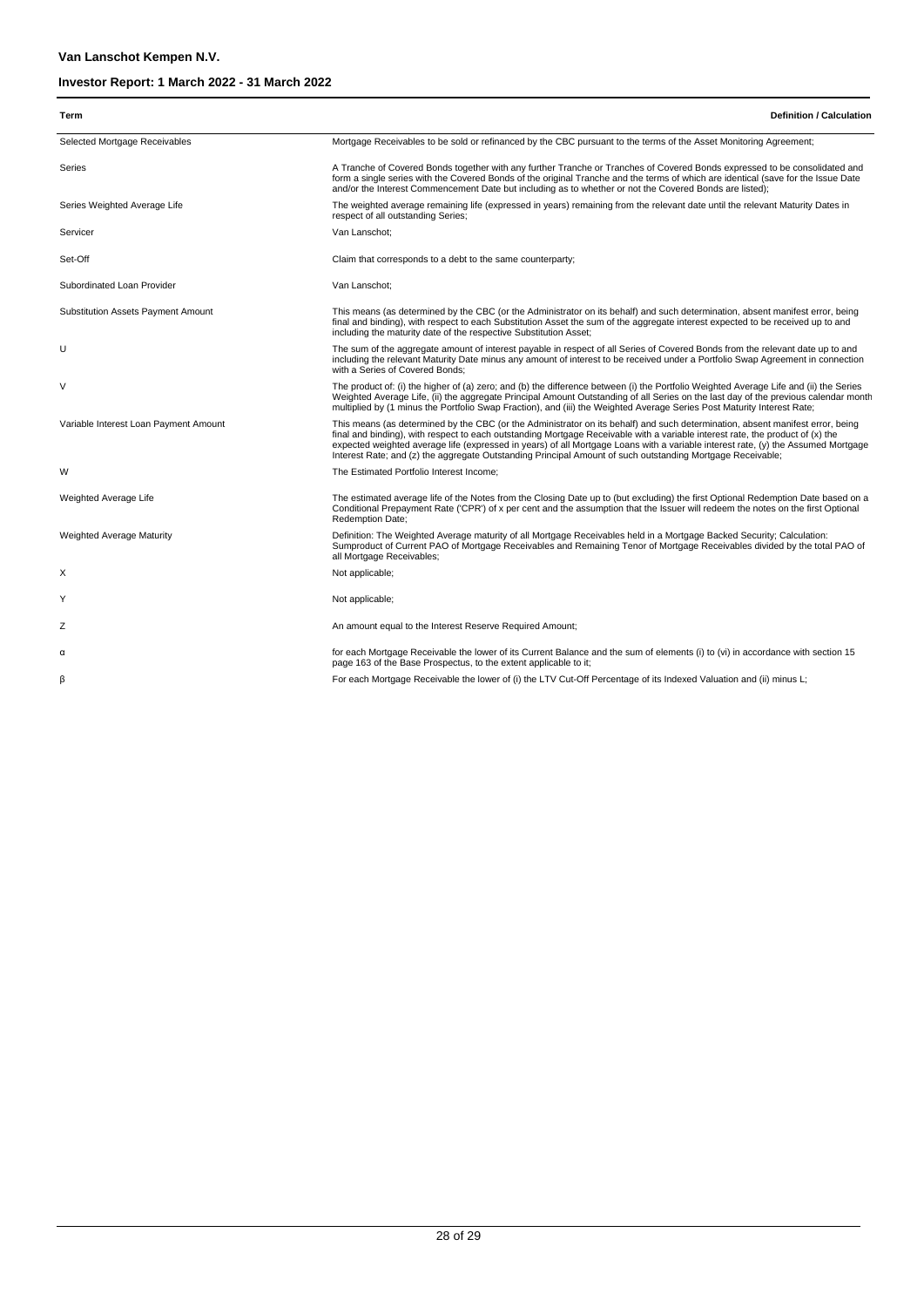| Term                                  | <b>Definition / Calculation</b>                                                                                                                                                                                                                                                                                                                                                                                                                                                                                     |
|---------------------------------------|---------------------------------------------------------------------------------------------------------------------------------------------------------------------------------------------------------------------------------------------------------------------------------------------------------------------------------------------------------------------------------------------------------------------------------------------------------------------------------------------------------------------|
| Selected Mortgage Receivables         | Mortgage Receivables to be sold or refinanced by the CBC pursuant to the terms of the Asset Monitoring Agreement;                                                                                                                                                                                                                                                                                                                                                                                                   |
| Series                                | A Tranche of Covered Bonds together with any further Tranche or Tranches of Covered Bonds expressed to be consolidated and<br>form a single series with the Covered Bonds of the original Tranche and the terms of which are identical (save for the Issue Date<br>and/or the Interest Commencement Date but including as to whether or not the Covered Bonds are listed);                                                                                                                                          |
| Series Weighted Average Life          | The weighted average remaining life (expressed in years) remaining from the relevant date until the relevant Maturity Dates in<br>respect of all outstanding Series;                                                                                                                                                                                                                                                                                                                                                |
| Servicer                              | Van Lanschot:                                                                                                                                                                                                                                                                                                                                                                                                                                                                                                       |
| Set-Off                               | Claim that corresponds to a debt to the same counterparty;                                                                                                                                                                                                                                                                                                                                                                                                                                                          |
| Subordinated Loan Provider            | Van Lanschot:                                                                                                                                                                                                                                                                                                                                                                                                                                                                                                       |
| Substitution Assets Payment Amount    | This means (as determined by the CBC (or the Administrator on its behalf) and such determination, absent manifest error, being<br>final and binding), with respect to each Substitution Asset the sum of the aggregate interest expected to be received up to and<br>including the maturity date of the respective Substitution Asset;                                                                                                                                                                              |
| U                                     | The sum of the aggregate amount of interest payable in respect of all Series of Covered Bonds from the relevant date up to and<br>including the relevant Maturity Date minus any amount of interest to be received under a Portfolio Swap Agreement in connection<br>with a Series of Covered Bonds:                                                                                                                                                                                                                |
| $\vee$                                | The product of: (i) the higher of (a) zero; and (b) the difference between (i) the Portfolio Weighted Average Life and (ii) the Series<br>Weighted Average Life, (ii) the aggregate Principal Amount Outstanding of all Series on the last day of the previous calendar month<br>multiplied by (1 minus the Portfolio Swap Fraction), and (iii) the Weighted Average Series Post Maturity Interest Rate;                                                                                                            |
| Variable Interest Loan Payment Amount | This means (as determined by the CBC (or the Administrator on its behalf) and such determination, absent manifest error, being<br>final and binding), with respect to each outstanding Mortgage Receivable with a variable interest rate, the product of (x) the<br>expected weighted average life (expressed in years) of all Mortgage Loans with a variable interest rate, (y) the Assumed Mortgage<br>Interest Rate; and (z) the aggregate Outstanding Principal Amount of such outstanding Mortgage Receivable; |
| W                                     | The Estimated Portfolio Interest Income;                                                                                                                                                                                                                                                                                                                                                                                                                                                                            |
| Weighted Average Life                 | The estimated average life of the Notes from the Closing Date up to (but excluding) the first Optional Redemption Date based on a<br>Conditional Prepayment Rate ('CPR') of x per cent and the assumption that the Issuer will redeem the notes on the first Optional<br>Redemption Date;                                                                                                                                                                                                                           |
| <b>Weighted Average Maturity</b>      | Definition: The Weighted Average maturity of all Mortgage Receivables held in a Mortgage Backed Security; Calculation:<br>Sumproduct of Current PAO of Mortgage Receivables and Remaining Tenor of Mortgage Receivables divided by the total PAO of<br>all Mortgage Receivables;                                                                                                                                                                                                                                    |
| х                                     | Not applicable;                                                                                                                                                                                                                                                                                                                                                                                                                                                                                                     |
| Υ                                     | Not applicable;                                                                                                                                                                                                                                                                                                                                                                                                                                                                                                     |
| Z                                     | An amount equal to the Interest Reserve Required Amount;                                                                                                                                                                                                                                                                                                                                                                                                                                                            |
| α                                     | for each Mortgage Receivable the lower of its Current Balance and the sum of elements (i) to (vi) in accordance with section 15<br>page 163 of the Base Prospectus, to the extent applicable to it;                                                                                                                                                                                                                                                                                                                 |
| β                                     | For each Mortgage Receivable the lower of (i) the LTV Cut-Off Percentage of its Indexed Valuation and (ii) minus L;                                                                                                                                                                                                                                                                                                                                                                                                 |